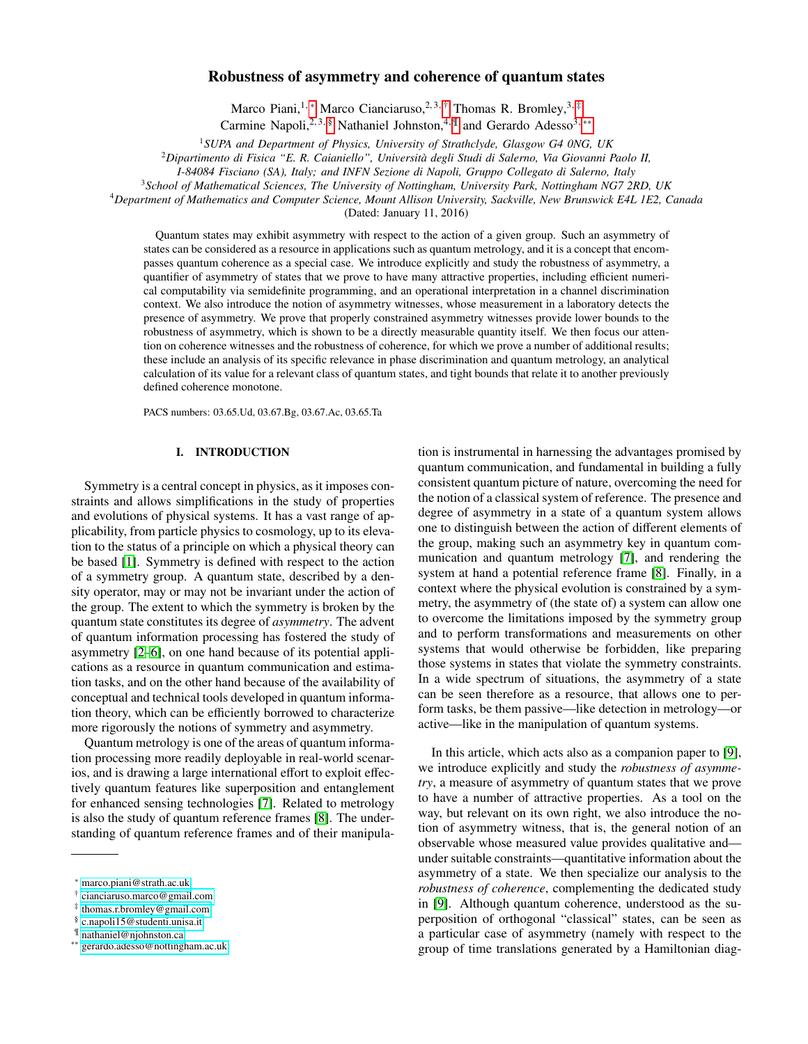# Robustness of asymmetry and coherence of quantum states

Marco Piani,<sup>1, [∗](#page-0-0)</sup> Marco Cianciaruso,<sup>2, 3, [†](#page-0-1)</sup> Thomas R. Bromley,<sup>3, [‡](#page-0-2)</sup>

Carmine Napoli,<sup>2,3, [§](#page-0-3)</sup> Nathaniel Johnston,<sup>4, [¶](#page-0-4)</sup> and Gerardo Adesso<sup>3,</sup> \*\*

<sup>1</sup>*SUPA and Department of Physics, University of Strathclyde, Glasgow G4 0NG, UK*

<sup>2</sup>*Dipartimento di Fisica "E. R. Caianiello", Università degli Studi di Salerno, Via Giovanni Paolo II,*

*I-84084 Fisciano (SA), Italy; and INFN Sezione di Napoli, Gruppo Collegato di Salerno, Italy*

<sup>3</sup>*School of Mathematical Sciences, The University of Nottingham, University Park, Nottingham NG7 2RD, UK*

<sup>4</sup>*Department of Mathematics and Computer Science, Mount Allison University, Sackville, New Brunswick E4L 1E2, Canada*

(Dated: January 11, 2016)

Quantum states may exhibit asymmetry with respect to the action of a given group. Such an asymmetry of states can be considered as a resource in applications such as quantum metrology, and it is a concept that encompasses quantum coherence as a special case. We introduce explicitly and study the robustness of asymmetry, a quantifier of asymmetry of states that we prove to have many attractive properties, including efficient numerical computability via semidefinite programming, and an operational interpretation in a channel discrimination context. We also introduce the notion of asymmetry witnesses, whose measurement in a laboratory detects the presence of asymmetry. We prove that properly constrained asymmetry witnesses provide lower bounds to the robustness of asymmetry, which is shown to be a directly measurable quantity itself. We then focus our attention on coherence witnesses and the robustness of coherence, for which we prove a number of additional results; these include an analysis of its specific relevance in phase discrimination and quantum metrology, an analytical calculation of its value for a relevant class of quantum states, and tight bounds that relate it to another previously defined coherence monotone.

PACS numbers: 03.65.Ud, 03.67.Bg, 03.67.Ac, 03.65.Ta

## I. INTRODUCTION

Symmetry is a central concept in physics, as it imposes constraints and allows simplifications in the study of properties and evolutions of physical systems. It has a vast range of applicability, from particle physics to cosmology, up to its elevation to the status of a principle on which a physical theory can be based [\[1\]](#page-12-0). Symmetry is defined with respect to the action of a symmetry group. A quantum state, described by a density operator, may or may not be invariant under the action of the group. The extent to which the symmetry is broken by the quantum state constitutes its degree of *asymmetry*. The advent of quantum information processing has fostered the study of asymmetry [\[2](#page-12-1)[–6\]](#page-12-2), on one hand because of its potential applications as a resource in quantum communication and estimation tasks, and on the other hand because of the availability of conceptual and technical tools developed in quantum information theory, which can be efficiently borrowed to characterize more rigorously the notions of symmetry and asymmetry.

Quantum metrology is one of the areas of quantum information processing more readily deployable in real-world scenarios, and is drawing a large international effort to exploit effectively quantum features like superposition and entanglement for enhanced sensing technologies [\[7\]](#page-12-3). Related to metrology is also the study of quantum reference frames [\[8\]](#page-12-4). The understanding of quantum reference frames and of their manipulation is instrumental in harnessing the advantages promised by quantum communication, and fundamental in building a fully consistent quantum picture of nature, overcoming the need for the notion of a classical system of reference. The presence and degree of asymmetry in a state of a quantum system allows one to distinguish between the action of different elements of the group, making such an asymmetry key in quantum communication and quantum metrology [\[7\]](#page-12-3), and rendering the system at hand a potential reference frame [\[8\]](#page-12-4). Finally, in a context where the physical evolution is constrained by a symmetry, the asymmetry of (the state of) a system can allow one to overcome the limitations imposed by the symmetry group and to perform transformations and measurements on other systems that would otherwise be forbidden, like preparing those systems in states that violate the symmetry constraints. In a wide spectrum of situations, the asymmetry of a state can be seen therefore as a resource, that allows one to perform tasks, be them passive—like detection in metrology—or active—like in the manipulation of quantum systems.

In this article, which acts also as a companion paper to [\[9\]](#page-12-5), we introduce explicitly and study the *robustness of asymmetry*, a measure of asymmetry of quantum states that we prove to have a number of attractive properties. As a tool on the way, but relevant on its own right, we also introduce the notion of asymmetry witness, that is, the general notion of an observable whose measured value provides qualitative and under suitable constraints—quantitative information about the asymmetry of a state. We then specialize our analysis to the *robustness of coherence*, complementing the dedicated study in [\[9\]](#page-12-5). Although quantum coherence, understood as the superposition of orthogonal "classical" states, can be seen as a particular case of asymmetry (namely with respect to the group of time translations generated by a Hamiltonian diag-

<span id="page-0-0"></span><sup>∗</sup> [marco.piani@strath.ac.uk](mailto:marco.piani@strath.ac.uk)

<span id="page-0-1"></span><sup>†</sup> [cianciaruso.marco@gmail.com](mailto:cianciaruso.marco@gmail.com)

<span id="page-0-2"></span><sup>‡</sup> [thomas.r.bromley@gmail.com](mailto:thomas.r.bromley@gmail.com)

<span id="page-0-3"></span><sup>§</sup> [c.napoli15@studenti.unisa.it](mailto:c.napoli15@studenti.unisa.it)

<span id="page-0-4"></span><sup>¶</sup> [nathaniel@njohnston.ca](mailto:nathaniel@njohnston.ca)

<span id="page-0-5"></span><sup>∗∗</sup> [gerardo.adesso@nottingham.ac.uk](mailto:gerardo.adesso@nottingham.ac.uk)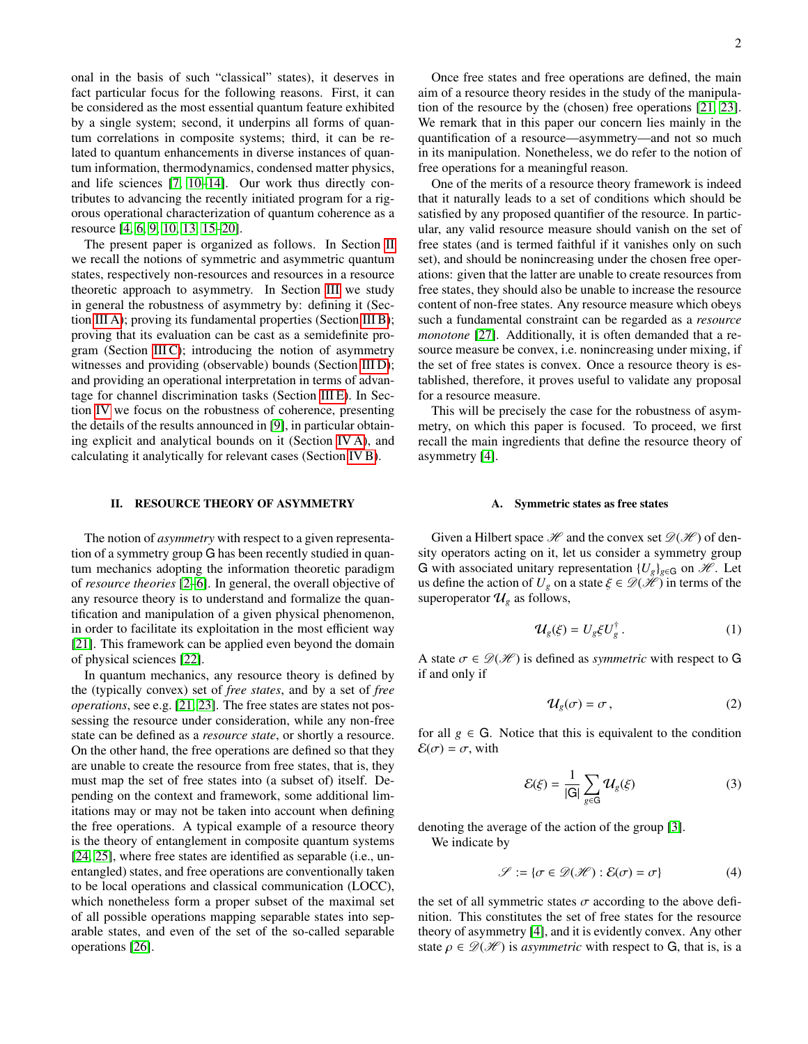onal in the basis of such "classical" states), it deserves in fact particular focus for the following reasons. First, it can be considered as the most essential quantum feature exhibited by a single system; second, it underpins all forms of quantum correlations in composite systems; third, it can be related to quantum enhancements in diverse instances of quantum information, thermodynamics, condensed matter physics, and life sciences [\[7,](#page-12-3) [10–](#page-12-6)[14\]](#page-12-7). Our work thus directly contributes to advancing the recently initiated program for a rigorous operational characterization of quantum coherence as a resource [\[4,](#page-12-8) [6,](#page-12-2) [9,](#page-12-5) [10,](#page-12-6) [13,](#page-12-9) [15](#page-12-10)[–20\]](#page-12-11).

The present paper is organized as follows. In Section [II](#page-1-0) we recall the notions of symmetric and asymmetric quantum states, respectively non-resources and resources in a resource theoretic approach to asymmetry. In Section [III](#page-2-0) we study in general the robustness of asymmetry by: defining it (Section [III A\)](#page-2-1); proving its fundamental properties (Section [III B\)](#page-2-2); proving that its evaluation can be cast as a semidefinite program (Section [III C\)](#page-3-0); introducing the notion of asymmetry witnesses and providing (observable) bounds (Section [III D\)](#page-4-0); and providing an operational interpretation in terms of advantage for channel discrimination tasks (Section [III E\)](#page-6-0). In Section [IV](#page-8-0) we focus on the robustness of coherence, presenting the details of the results announced in [\[9\]](#page-12-5), in particular obtaining explicit and analytical bounds on it (Section [IV A\)](#page-8-1), and calculating it analytically for relevant cases (Section [IV B\)](#page-10-0).

## <span id="page-1-0"></span>II. RESOURCE THEORY OF ASYMMETRY

The notion of *asymmetry* with respect to a given representation of a symmetry group G has been recently studied in quantum mechanics adopting the information theoretic paradigm of *resource theories* [\[2](#page-12-1)[–6\]](#page-12-2). In general, the overall objective of any resource theory is to understand and formalize the quantification and manipulation of a given physical phenomenon, in order to facilitate its exploitation in the most efficient way [\[21\]](#page-12-12). This framework can be applied even beyond the domain of physical sciences [\[22\]](#page-12-13).

In quantum mechanics, any resource theory is defined by the (typically convex) set of *free states*, and by a set of *free operations*, see e.g. [\[21,](#page-12-12) [23\]](#page-12-14). The free states are states not possessing the resource under consideration, while any non-free state can be defined as a *resource state*, or shortly a resource. On the other hand, the free operations are defined so that they are unable to create the resource from free states, that is, they must map the set of free states into (a subset of) itself. Depending on the context and framework, some additional limitations may or may not be taken into account when defining the free operations. A typical example of a resource theory is the theory of entanglement in composite quantum systems [\[24,](#page-12-15) [25\]](#page-12-16), where free states are identified as separable (i.e., unentangled) states, and free operations are conventionally taken to be local operations and classical communication (LOCC), which nonetheless form a proper subset of the maximal set of all possible operations mapping separable states into separable states, and even of the set of the so-called separable operations [\[26\]](#page-12-17).

Once free states and free operations are defined, the main aim of a resource theory resides in the study of the manipulation of the resource by the (chosen) free operations [\[21,](#page-12-12) [23\]](#page-12-14). We remark that in this paper our concern lies mainly in the quantification of a resource—asymmetry—and not so much in its manipulation. Nonetheless, we do refer to the notion of free operations for a meaningful reason.

One of the merits of a resource theory framework is indeed that it naturally leads to a set of conditions which should be satisfied by any proposed quantifier of the resource. In particular, any valid resource measure should vanish on the set of free states (and is termed faithful if it vanishes only on such set), and should be nonincreasing under the chosen free operations: given that the latter are unable to create resources from free states, they should also be unable to increase the resource content of non-free states. Any resource measure which obeys such a fundamental constraint can be regarded as a *resource monotone* [\[27\]](#page-12-18). Additionally, it is often demanded that a resource measure be convex, i.e. nonincreasing under mixing, if the set of free states is convex. Once a resource theory is established, therefore, it proves useful to validate any proposal for a resource measure.

This will be precisely the case for the robustness of asymmetry, on which this paper is focused. To proceed, we first recall the main ingredients that define the resource theory of asymmetry [\[4\]](#page-12-8).

## A. Symmetric states as free states

Given a Hilbert space  $\mathcal{H}$  and the convex set  $\mathcal{D}(\mathcal{H})$  of density operators acting on it, let us consider a symmetry group G with associated unitary representation  $\{U_g\}_{g \in G}$  on  $\mathcal{H}$ . Let us define the action of  $U_g$  on a state  $\xi \in \mathcal{D}(\mathcal{H})$  in terms of the superoperator  $\mathcal{U}_{g}$  as follows,

<span id="page-1-1"></span>
$$
\mathcal{U}_g(\xi) = U_g \xi U_g^{\dagger} \,. \tag{1}
$$

A state  $\sigma \in \mathcal{D}(\mathcal{H})$  is defined as *symmetric* with respect to G if and only if

$$
\mathcal{U}_g(\sigma) = \sigma \,,\tag{2}
$$

for all  $g \in G$ . Notice that this is equivalent to the condition  $\mathcal{E}(\sigma) = \sigma$ , with

<span id="page-1-2"></span>
$$
\mathcal{E}(\xi) = \frac{1}{|\mathsf{G}|} \sum_{g \in \mathsf{G}} \mathcal{U}_g(\xi) \tag{3}
$$

denoting the average of the action of the group [\[3\]](#page-12-19).

We indicate by

<span id="page-1-3"></span>
$$
\mathcal{S} := \{ \sigma \in \mathcal{D}(\mathcal{H}) : \mathcal{E}(\sigma) = \sigma \}
$$
 (4)

the set of all symmetric states  $\sigma$  according to the above definition. This constitutes the set of free states for the resource theory of asymmetry [\[4\]](#page-12-8), and it is evidently convex. Any other state  $\rho \in \mathcal{D}(\mathcal{H})$  is *asymmetric* with respect to G, that is, is a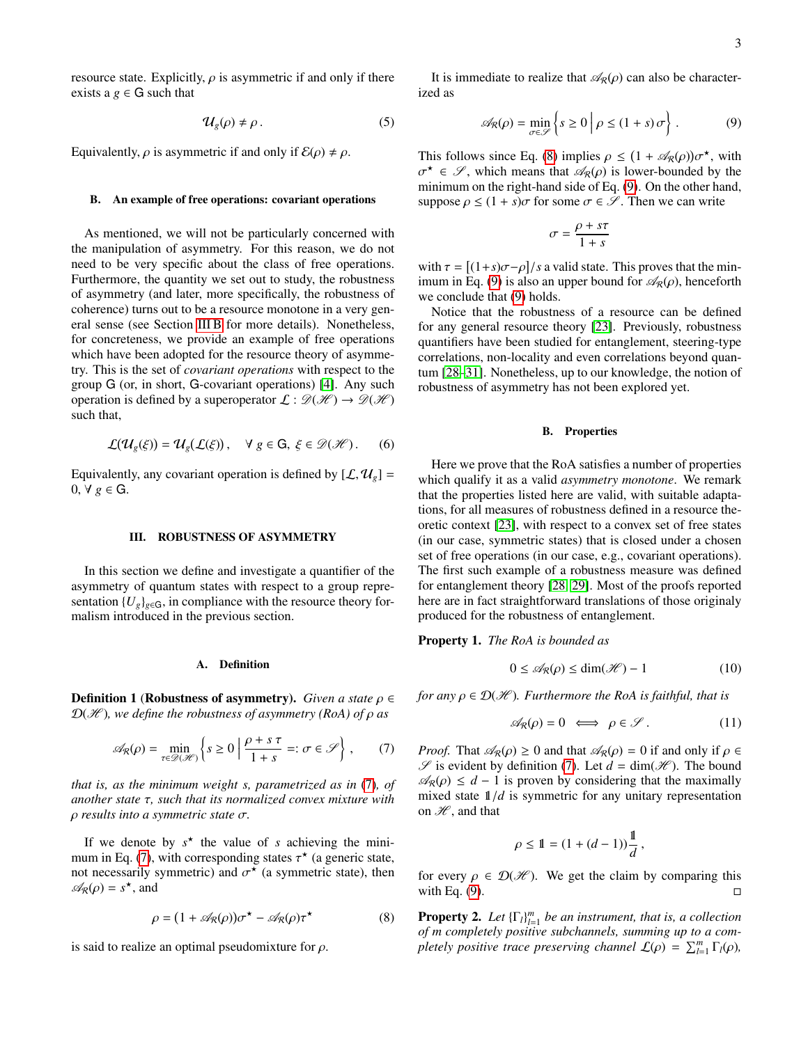resource state. Explicitly,  $\rho$  is asymmetric if and only if there exists a  $g \in G$  such that

$$
\mathcal{U}_g(\rho) \neq \rho \,.
$$
 (5)

Equivalently,  $\rho$  is asymmetric if and only if  $\mathcal{E}(\rho) \neq \rho$ .

#### B. An example of free operations: covariant operations

As mentioned, we will not be particularly concerned with the manipulation of asymmetry. For this reason, we do not need to be very specific about the class of free operations. Furthermore, the quantity we set out to study, the robustness of asymmetry (and later, more specifically, the robustness of coherence) turns out to be a resource monotone in a very general sense (see Section [III B](#page-2-2) for more details). Nonetheless, for concreteness, we provide an example of free operations which have been adopted for the resource theory of asymmetry. This is the set of *covariant operations* with respect to the group G (or, in short, G-covariant operations) [\[4\]](#page-12-8). Any such operation is defined by a superoperator  $\mathcal{L}: \mathscr{D}(\mathscr{H}) \to \mathscr{D}(\mathscr{H})$ such that,

<span id="page-2-6"></span>
$$
\mathcal{L}(\mathcal{U}_g(\xi)) = \mathcal{U}_g(\mathcal{L}(\xi)), \quad \forall \ g \in G, \ \xi \in \mathcal{D}(\mathcal{H}). \tag{6}
$$

Equivalently, any covariant operation is defined by  $[\mathcal{L}, \mathcal{U}_g] =$ 0,  $\forall$  *g* ∈ G.

## <span id="page-2-0"></span>III. ROBUSTNESS OF ASYMMETRY

In this section we define and investigate a quantifier of the asymmetry of quantum states with respect to a group representation  $\{U_g\}_{g \in \mathbb{G}}$ , in compliance with the resource theory formalism introduced in the previous section.

#### <span id="page-2-1"></span>A. Definition

Definition 1 (Robustness of asymmetry). *Given a state* ρ <sup>∈</sup>  $\mathcal{D}(\mathcal{H})$ , we define the robustness of asymmetry (RoA) of  $\rho$  as

<span id="page-2-3"></span>
$$
\mathscr{A}_{\mathcal{R}}(\rho) = \min_{\tau \in \mathscr{D}(\mathscr{H})} \left\{ s \ge 0 \mid \frac{\rho + s \tau}{1 + s} =: \sigma \in \mathscr{S} \right\},\qquad(7)
$$

*that is, as the minimum weight s, parametrized as in* [\(7\)](#page-2-3)*, of another state* τ*, such that its normalized convex mixture with* ρ *results into a symmetric state* σ*.*

If we denote by  $s^*$  the value of *s* achieving the mini-mum in Eq. [\(7\)](#page-2-3), with corresponding states  $\tau^*$  (a generic state, not necessarily symmetric) and  $\sigma^*$  (a symmetric state), then not necessarily symmetric) and  $\sigma^*$  (a symmetric state), then  $\mathcal{A}_n(o) = s^*$  and  $\mathscr{A}_{\mathcal{R}}(\rho) = s^*$ , and

<span id="page-2-4"></span>
$$
\rho = (1 + \mathscr{A}_{\mathcal{R}}(\rho))\sigma^* - \mathscr{A}_{\mathcal{R}}(\rho)\tau^*
$$
\n(8)

is said to realize an optimal pseudomixture for  $\rho$ .

It is immediate to realize that  $\mathcal{A}_R(\rho)$  can also be characterized as

<span id="page-2-5"></span>
$$
\mathscr{A}_{\mathcal{R}}(\rho) = \min_{\sigma \in \mathscr{S}} \left\{ s \ge 0 \; \middle| \; \rho \le (1+s)\,\sigma \right\} . \tag{9}
$$

This follows since Eq. [\(8\)](#page-2-4) implies  $\rho \leq (1 + \mathcal{A}_R(\rho))\sigma^*$ , with  $\sigma^* \in \mathcal{L}$  which means that  $\mathcal{A}_R(\rho)$  is lower-hounded by the  $\star \in \mathcal{S}$ , which means that  $\mathcal{A}_R(\rho)$  is lower-bounded by the<br>inimum on the right-hand side of Eq. (9). On the other hand minimum on the right-hand side of Eq. [\(9\)](#page-2-5). On the other hand, suppose  $\rho \le (1 + s)\sigma$  for some  $\sigma \in \mathcal{S}$ . Then we can write

$$
\sigma = \frac{\rho + s\tau}{1 + s}
$$

with  $\tau = \frac{(1+s)\sigma - \rho}{s}$  a valid state. This proves that the min-<br>imum in Eq. (9) is also an upper bound for  $\mathcal{O}_n(\rho)$  henceforth imum in Eq. [\(9\)](#page-2-5) is also an upper bound for  $\mathcal{A}_R(\rho)$ , henceforth we conclude that [\(9\)](#page-2-5) holds.

Notice that the robustness of a resource can be defined for any general resource theory [\[23\]](#page-12-14). Previously, robustness quantifiers have been studied for entanglement, steering-type correlations, non-locality and even correlations beyond quantum [\[28](#page-12-20)[–31\]](#page-13-0). Nonetheless, up to our knowledge, the notion of robustness of asymmetry has not been explored yet.

#### <span id="page-2-2"></span>B. Properties

Here we prove that the RoA satisfies a number of properties which qualify it as a valid *asymmetry monotone*. We remark that the properties listed here are valid, with suitable adaptations, for all measures of robustness defined in a resource theoretic context [\[23\]](#page-12-14), with respect to a convex set of free states (in our case, symmetric states) that is closed under a chosen set of free operations (in our case, e.g., covariant operations). The first such example of a robustness measure was defined for entanglement theory [\[28,](#page-12-20) [29\]](#page-13-1). Most of the proofs reported here are in fact straightforward translations of those originaly produced for the robustness of entanglement.

<span id="page-2-7"></span>Property 1. *The RoA is bounded as*

$$
0 \le \mathcal{A}_{\mathcal{R}}(\rho) \le \dim(\mathcal{H}) - 1 \tag{10}
$$

*for any*  $\rho \in \mathcal{D}(\mathcal{H})$ *. Furthermore the RoA is faithful, that is* 

$$
\mathscr{A}_{\mathcal{R}}(\rho) = 0 \iff \rho \in \mathscr{S} \,.
$$
 (11)

*Proof.* That  $\mathcal{A}_R(\rho) \geq 0$  and that  $\mathcal{A}_R(\rho) = 0$  if and only if  $\rho \in$  $\mathscr S$  is evident by definition [\(7\)](#page-2-3). Let  $d = \dim(\mathscr H)$ . The bound  $\mathcal{A}_R(\rho) \leq d - 1$  is proven by considering that the maximally mixed state  $1/d$  is symmetric for any unitary representation on  $\mathscr{H}$ , and that

$$
\rho \leq 1 \! \! 1 = (1 + (d - 1)) \frac{1}{d} \, ,
$$

for every  $\rho \in \mathcal{D}(\mathcal{H})$ . We get the claim by comparing this with Eq. (9). with Eq. [\(9\)](#page-2-5).

**Property 2.** Let  ${\{\Gamma_l\}}_{l=1}^m$  be an instrument, that is, a collection *of m completely positive subchannels, summing up to a completely positive trace preserving channel*  $\mathcal{L}(\rho) = \sum_{l=1}^{m} \Gamma_l(\rho)$ *,*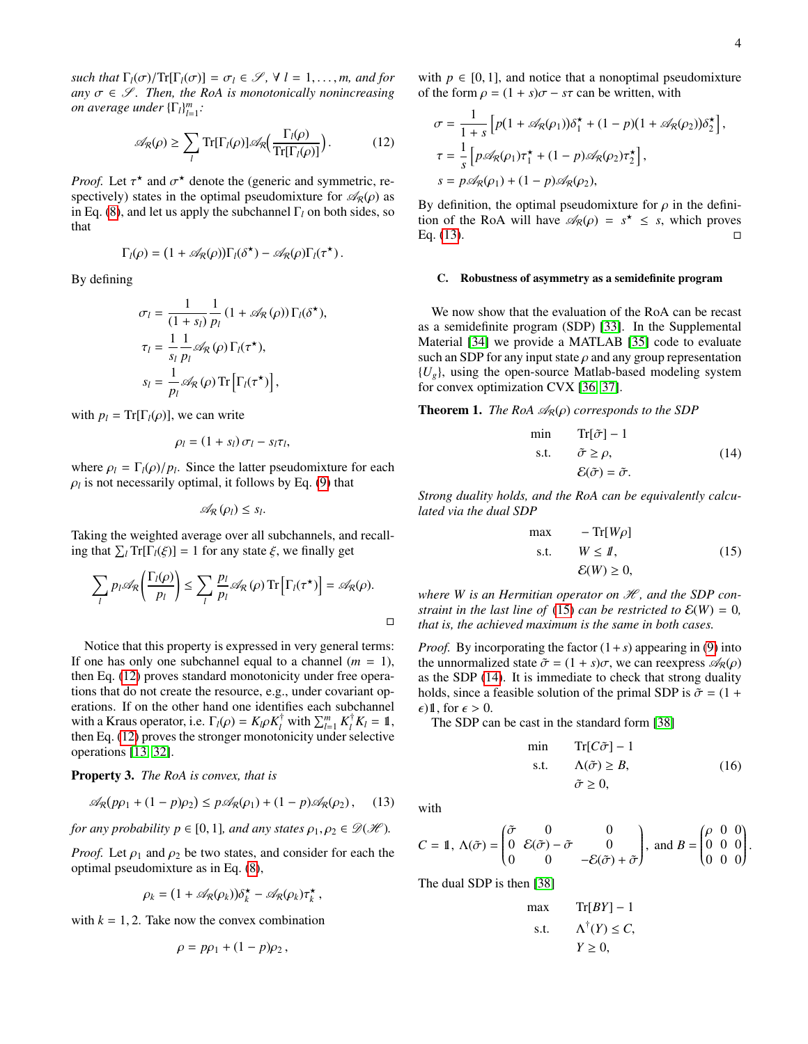*such that*  $\Gamma_l(\sigma)/\text{Tr}[\Gamma_l(\sigma)] = \sigma_l \in \mathcal{S}, \forall l = 1, \ldots, m$ , and for *any*  $\sigma \in \mathcal{S}$ *. Then, the RoA is monotonically nonincreasing on average under*  ${\{\Gamma_l\}}_{l=1}^m$ :

<span id="page-3-1"></span>
$$
\mathscr{A}_{\mathcal{R}}(\rho) \ge \sum_{l} \text{Tr}[\Gamma_{l}(\rho)] \mathscr{A}_{\mathcal{R}}\left(\frac{\Gamma_{l}(\rho)}{\text{Tr}[\Gamma_{l}(\rho)]}\right). \tag{12}
$$

*Proof.* Let  $\tau^*$  and  $\sigma^*$  denote the (generic and symmetric, respectively) states in the ontimal pseudomixture for  $\mathcal{O}_0(\alpha)$  as spectively) states in the optimal pseudomixture for  $\mathcal{A}_R(\rho)$  as in Eq. [\(8\)](#page-2-4), and let us apply the subchannel  $\Gamma_l$  on both sides, so that

$$
\Gamma_l(\rho) = (1 + \mathscr{A}_{\mathcal{R}}(\rho))\Gamma_l(\delta^{\star}) - \mathscr{A}_{\mathcal{R}}(\rho)\Gamma_l(\tau^{\star}).
$$

By defining

$$
\sigma_l = \frac{1}{(1+s_l)} \frac{1}{p_l} (1 + \mathscr{A}_R(\rho)) \Gamma_l(\delta^{\star}),
$$
  
\n
$$
\tau_l = \frac{1}{s_l} \frac{1}{p_l} \mathscr{A}_R(\rho) \Gamma_l(\tau^{\star}),
$$
  
\n
$$
s_l = \frac{1}{p_l} \mathscr{A}_R(\rho) \text{Tr} [\Gamma_l(\tau^{\star})],
$$

with  $p_l = \text{Tr}[\Gamma_l(\rho)]$ , we can write

$$
\rho_l = (1 + s_l) \sigma_l - s_l \tau_l,
$$

where  $\rho_l = \Gamma_l(\rho)/p_l$ . Since the latter pseudomixture for each  $\rho_l$  is not necessarily optimal if follows by Eq. (9) that  $\rho_l$  is not necessarily optimal, it follows by Eq. [\(9\)](#page-2-5) that

$$
\mathscr{A}_{\mathcal{R}}(\rho_l)\leq s_l.
$$

Taking the weighted average over all subchannels, and recalling that  $\sum_l \text{Tr}[\Gamma_l(\xi)] = 1$  for any state  $\xi$ , we finally get

$$
\sum_{l} p_{l} \mathcal{A}_{R} \left( \frac{\Gamma_{l}(\rho)}{p_{l}} \right) \leq \sum_{l} \frac{p_{l}}{p_{l}} \mathcal{A}_{R}(\rho) \operatorname{Tr} \left[ \Gamma_{l}(\tau^{\star}) \right] = \mathcal{A}_{R}(\rho).
$$

Notice that this property is expressed in very general terms: If one has only one subchannel equal to a channel  $(m = 1)$ , then Eq. [\(12\)](#page-3-1) proves standard monotonicity under free operations that do not create the resource, e.g., under covariant operations. If on the other hand one identifies each subchannel with a Kraus operator, i.e.  $\Gamma_l(\rho) = K_l \rho K_l^{\dagger}$  with  $\sum_{l=1}^m K_l^{\dagger}$ <br>then Eq. (12) proves the stronger monotonicity under s  $\int_l^{\tau} K_l = 1,$ then Eq. [\(12\)](#page-3-1) proves the stronger monotonicity under selective operations [\[13,](#page-12-9) [32\]](#page-13-2).

Property 3. *The RoA is convex, that is*

<span id="page-3-2"></span>
$$
\mathcal{A}_{\mathcal{R}}(p\rho_1 + (1-p)\rho_2) \le p\mathcal{A}_{\mathcal{R}}(\rho_1) + (1-p)\mathcal{A}_{\mathcal{R}}(\rho_2), \quad (13)
$$

*for any probability p*  $\in$  [0, 1]*, and any states*  $\rho_1, \rho_2 \in \mathcal{D}(\mathcal{H})$ *.* 

*Proof.* Let  $\rho_1$  and  $\rho_2$  be two states, and consider for each the optimal pseudomixture as in Eq. [\(8\)](#page-2-4),

$$
\rho_k = (1 + \mathscr{A}_{\mathcal{R}}(\rho_k)) \delta_k^{\star} - \mathscr{A}_{\mathcal{R}}(\rho_k) \tau_k^{\star},
$$

with  $k = 1, 2$ . Take now the convex combination

$$
\rho = p\rho_1 + (1-p)\rho_2,
$$

with  $p \in [0, 1]$ , and notice that a nonoptimal pseudomixture of the form  $\rho = (1 + s)\sigma - s\tau$  can be written, with

$$
\sigma = \frac{1}{1+s} \left[ p(1 + \mathcal{A}_{\mathcal{R}}(\rho_1)) \delta_1^{\star} + (1-p)(1 + \mathcal{A}_{\mathcal{R}}(\rho_2)) \delta_2^{\star} \right],
$$
  
\n
$$
\tau = \frac{1}{s} \left[ p \mathcal{A}_{\mathcal{R}}(\rho_1) \tau_1^{\star} + (1-p) \mathcal{A}_{\mathcal{R}}(\rho_2) \tau_2^{\star} \right],
$$
  
\n
$$
s = p \mathcal{A}_{\mathcal{R}}(\rho_1) + (1-p) \mathcal{A}_{\mathcal{R}}(\rho_2),
$$

By definition, the optimal pseudomixture for  $\rho$  in the definition of the RoA will have  $\mathcal{A}_{R}(\rho) = s^* \leq s$ , which proves  $F_{\alpha}$  (13) Eq. [\(13\)](#page-3-2).

### <span id="page-3-0"></span>C. Robustness of asymmetry as a semidefinite program

We now show that the evaluation of the RoA can be recast as a semidefinite program (SDP) [\[33\]](#page-13-3). In the Supplemental Material [\[34\]](#page-13-4) we provide a MATLAB [\[35\]](#page-13-5) code to evaluate such an SDP for any input state  $\rho$  and any group representation {*Ug*}, using the open-source Matlab-based modeling system for convex optimization CVX [\[36,](#page-13-6) [37\]](#page-13-7).

<span id="page-3-5"></span>**Theorem 1.** *The RoA*  $\mathcal{A}_R(\rho)$  *corresponds to the SDP* 

<span id="page-3-4"></span>min Tr
$$
[\tilde{\sigma}] - 1
$$
  
s.t.  $\tilde{\sigma} \ge \rho$ , (14)  
 $\mathcal{E}(\tilde{\sigma}) = \tilde{\sigma}$ .

*Strong duality holds, and the RoA can be equivalently calculated via the dual SDP*

<span id="page-3-3"></span>max 
$$
-Tr[W\rho]
$$
  
s.t.  $W \leq \mathbb{I}$ , (15)  
 $\mathcal{E}(W) \geq 0$ ,

*where W is an Hermitian operator on*  $H$ *, and the SDP constraint in the last line of* [\(15\)](#page-3-3) *can be restricted to*  $\mathcal{E}(W) = 0$ *, that is, the achieved maximum is the same in both cases.*

*Proof.* By incorporating the factor  $(1 + s)$  appearing in [\(9\)](#page-2-5) into the unnormalized state  $\tilde{\sigma} = (1 + s)\sigma$ , we can reexpress  $\mathscr{A}_{R}(\rho)$ as the SDP [\(14\)](#page-3-4). It is immediate to check that strong duality holds, since a feasible solution of the primal SDP is  $\tilde{\sigma} = (1 +$  $\epsilon$ )1, for  $\epsilon > 0$ .

The SDP can be cast in the standard form [\[38\]](#page-13-8)

$$
\begin{array}{ll}\n\text{min} & \text{Tr}[C\tilde{\sigma}] - 1 \\
\text{s.t.} & \Lambda(\tilde{\sigma}) \ge B, \\
& \tilde{\sigma} \ge 0,\n\end{array}\n\tag{16}
$$

with

$$
C = \mathbb{1}, \ \Lambda(\tilde{\sigma}) = \begin{pmatrix} \tilde{\sigma} & 0 & 0 \\ 0 & \mathcal{E}(\tilde{\sigma}) - \tilde{\sigma} & 0 \\ 0 & 0 & -\mathcal{E}(\tilde{\sigma}) + \tilde{\sigma} \end{pmatrix}, \ \text{and} \ B = \begin{pmatrix} \rho & 0 & 0 \\ 0 & 0 & 0 \\ 0 & 0 & 0 \end{pmatrix}
$$

The dual SDP is then [\[38\]](#page-13-8)

max 
$$
\text{Tr}[BY] - 1
$$
  
s.t.  $\Lambda^{\dagger}(Y) \leq C$ ,  
 $Y \geq 0$ ,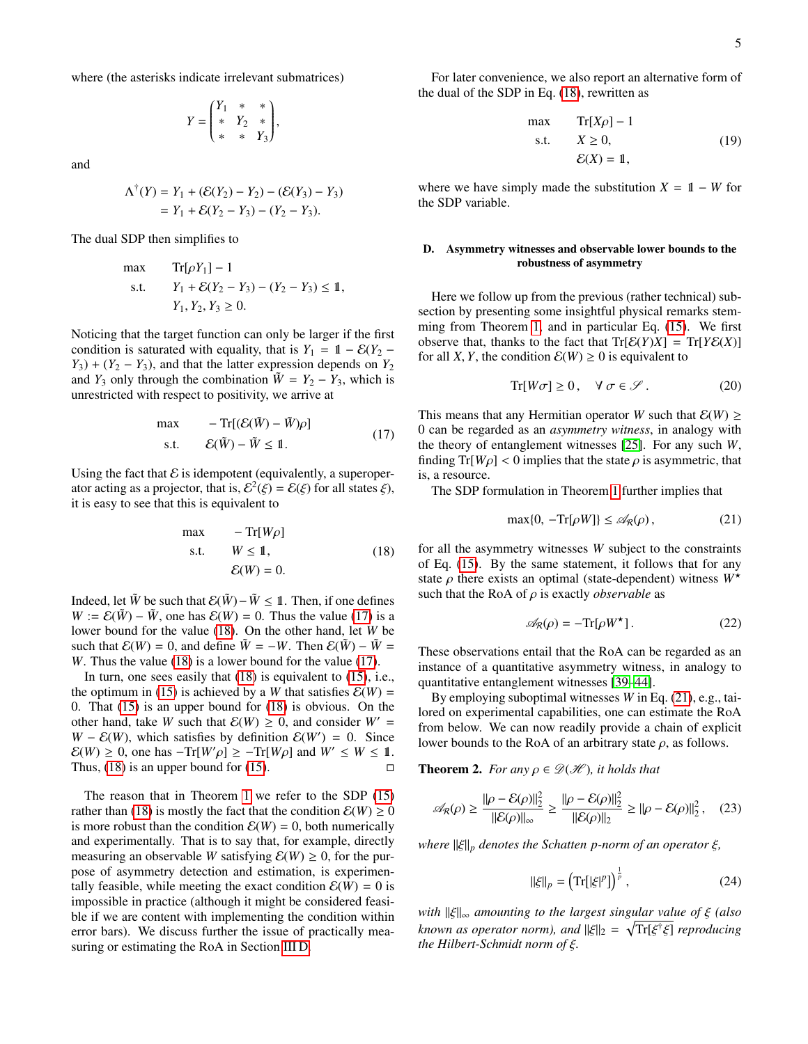where (the asterisks indicate irrelevant submatrices)

$$
Y = \begin{pmatrix} Y_1 & * & * \\ * & Y_2 & * \\ * & * & Y_3 \end{pmatrix},
$$

and

$$
\Lambda^{\dagger}(Y) = Y_1 + (\mathcal{E}(Y_2) - Y_2) - (\mathcal{E}(Y_3) - Y_3)
$$
  
= Y\_1 + \mathcal{E}(Y\_2 - Y\_3) - (Y\_2 - Y\_3).

The dual SDP then simplifies to

max 
$$
\text{Tr}[PY_1] - 1
$$
  
s.t.  $Y_1 + \mathcal{E}(Y_2 - Y_3) - (Y_2 - Y_3) \le 11$ ,  
 $Y_1, Y_2, Y_3 \ge 0$ .

Noticing that the target function can only be larger if the first condition is saturated with equality, that is  $Y_1 = 1 - \mathcal{E}(Y_2 Y_3$ ) + ( $Y_2$  –  $Y_3$ ), and that the latter expression depends on  $Y_2$ and  $Y_3$  only through the combination  $\tilde{W} = Y_2 - Y_3$ , which is unrestricted with respect to positivity, we arrive at

<span id="page-4-1"></span>
$$
\max \qquad -\operatorname{Tr}[(\mathcal{E}(\tilde{W}) - \tilde{W})\rho] \n\text{s.t.} \qquad \mathcal{E}(\tilde{W}) - \tilde{W} \le 1. \tag{17}
$$

Using the fact that  $\mathcal E$  is idempotent (equivalently, a superoperator acting as a projector, that is,  $\mathcal{E}^2(\xi) = \mathcal{E}(\xi)$  for all states  $\xi$ ), it is easy to see that this is equivalent to it is easy to see that this is equivalent to

<span id="page-4-2"></span>
$$
\begin{array}{ll}\n\max & -\operatorname{Tr}[W\rho] \\
\text{s.t.} & W \le 1, \\
\mathcal{E}(W) = 0.\n\end{array} \tag{18}
$$

Indeed, let  $\tilde{W}$  be such that  $\mathcal{E}(\tilde{W}) - \tilde{W} \leq 1$ . Then, if one defines *W* :=  $\mathcal{E}(\tilde{W}) - \tilde{W}$ , one has  $\mathcal{E}(W) = 0$ . Thus the value [\(17\)](#page-4-1) is a lower bound for the value [\(18\)](#page-4-2). On the other hand, let *W* be such that  $\mathcal{E}(W) = 0$ , and define  $\tilde{W} = -W$ . Then  $\mathcal{E}(\tilde{W}) - \tilde{W} =$ *W*. Thus the value [\(18\)](#page-4-2) is a lower bound for the value [\(17\)](#page-4-1).

In turn, one sees easily that [\(18\)](#page-4-2) is equivalent to [\(15\)](#page-3-3), i.e., the optimum in [\(15\)](#page-3-3) is achieved by a *W* that satisfies  $\mathcal{E}(W) =$ 0. That [\(15\)](#page-3-3) is an upper bound for [\(18\)](#page-4-2) is obvious. On the other hand, take *W* such that  $\mathcal{E}(W) \geq 0$ , and consider  $W' =$  $W - \mathcal{E}(W)$ , which satisfies by definition  $\mathcal{E}(W') = 0$ . Since  $\mathcal{E}(W) \ge 0$ , one has  $-\text{Tr}[W'\rho] \ge -\text{Tr}[W\rho]$  and  $W' \le W \le 1$ .<br>Thus, (18) is an upper bound for (15). Thus, [\(18\)](#page-4-2) is an upper bound for [\(15\)](#page-3-3).

The reason that in Theorem [1](#page-3-5) we refer to the SDP [\(15\)](#page-3-3) rather than [\(18\)](#page-4-2) is mostly the fact that the condition  $\mathcal{E}(W) \ge 0$ is more robust than the condition  $\mathcal{E}(W) = 0$ , both numerically and experimentally. That is to say that, for example, directly measuring an observable *W* satisfying  $\mathcal{E}(W) \geq 0$ , for the purpose of asymmetry detection and estimation, is experimentally feasible, while meeting the exact condition  $\mathcal{E}(W) = 0$  is impossible in practice (although it might be considered feasible if we are content with implementing the condition within error bars). We discuss further the issue of practically measuring or estimating the RoA in Section [III D.](#page-4-0)

For later convenience, we also report an alternative form of the dual of the SDP in Eq. [\(18\)](#page-4-2), rewritten as

<span id="page-4-5"></span>
$$
\begin{array}{ll}\n\max & \text{Tr}[X\rho] - 1 \\
\text{s.t.} & X \ge 0, \\
& \mathcal{E}(X) = 1,\n\end{array}\n\tag{19}
$$

where we have simply made the substitution  $X = 1 - W$  for the SDP variable.

## <span id="page-4-0"></span>D. Asymmetry witnesses and observable lower bounds to the robustness of asymmetry

Here we follow up from the previous (rather technical) subsection by presenting some insightful physical remarks stemming from Theorem [1,](#page-3-5) and in particular Eq. [\(15\)](#page-3-3). We first observe that, thanks to the fact that  $Tr[\mathcal{E}(Y)X] = Tr[Y\mathcal{E}(X)]$ for all *X*, *Y*, the condition  $\mathcal{E}(W) \ge 0$  is equivalent to

$$
\operatorname{Tr}[W\sigma] \ge 0, \quad \forall \ \sigma \in \mathcal{S}. \tag{20}
$$

This means that any Hermitian operator *W* such that  $\mathcal{E}(W) \geq$ 0 can be regarded as an *asymmetry witness*, in analogy with the theory of entanglement witnesses [\[25\]](#page-12-16). For any such *W*, finding  $Tr[W \rho] < 0$  implies that the state  $\rho$  is asymmetric, that is, a resource.

The SDP formulation in Theorem [1](#page-3-5) further implies that

<span id="page-4-3"></span>
$$
\max\{0, -\text{Tr}[\rho W]\} \le \mathcal{A}_{\mathcal{R}}(\rho),\tag{21}
$$

for all the asymmetry witnesses *W* subject to the constraints of Eq. [\(15\)](#page-3-3). By the same statement, it follows that for any state  $\rho$  there exists an optimal (state-dependent) witness  $W^*$ such that the RoA of  $\rho$  is exactly *observable* as

$$
\mathscr{A}_{\mathcal{R}}(\rho) = -\text{Tr}[\rho W^{\star}]. \tag{22}
$$

These observations entail that the RoA can be regarded as an instance of a quantitative asymmetry witness, in analogy to quantitative entanglement witnesses [\[39](#page-13-9)[–44\]](#page-13-10).

By employing suboptimal witnesses *W* in Eq. [\(21\)](#page-4-3), e.g., tailored on experimental capabilities, one can estimate the RoA from below. We can now readily provide a chain of explicit lower bounds to the RoA of an arbitrary state  $\rho$ , as follows.

**Theorem 2.** *For any*  $\rho \in \mathcal{D(H)}$ *, it holds that* 

<span id="page-4-4"></span>
$$
\mathscr{A}_{\mathcal{R}}(\rho) \ge \frac{\|\rho - \mathcal{E}(\rho)\|_2^2}{\|\mathcal{E}(\rho)\|_{\infty}} \ge \frac{\|\rho - \mathcal{E}(\rho)\|_2^2}{\|\mathcal{E}(\rho)\|_2} \ge \|\rho - \mathcal{E}(\rho)\|_2^2, \quad (23)
$$

*where*  $\|\xi\|_p$  *denotes the Schatten p-norm of an operator*  $\xi$ *,* 

$$
\|\xi\|_{p} = \left(\text{Tr}[(\xi|^{p}]\right)^{\frac{1}{p}},\tag{24}
$$

*with*  $\left\| \xi \right\|_{∞}$  *amounting to the largest singular value of*  $ξ$  *(also known as operator norm), and*  $\|\xi\|_2 = \sqrt{\text{Tr}[\xi^{\dagger}\xi]}$  *reproducing*<br>the Hilbert-Schmidt norm of  $\xi$ *the Hilbert-Schmidt norm of* ξ*.*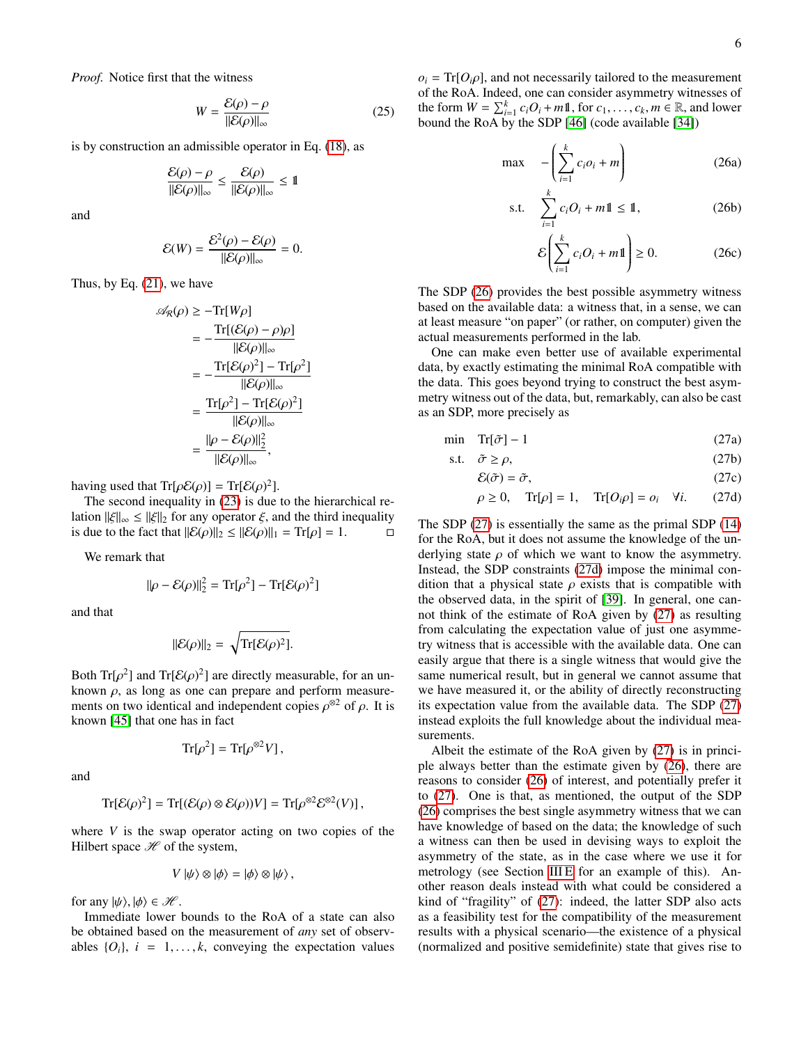*Proof.* Notice first that the witness

$$
W = \frac{\mathcal{E}(\rho) - \rho}{\|\mathcal{E}(\rho)\|_{\infty}}
$$
 (25)

is by construction an admissible operator in Eq. [\(18\)](#page-4-2), as

$$
\frac{\mathcal{E}(\rho) - \rho}{\|\mathcal{E}(\rho)\|_{\infty}} \le \frac{\mathcal{E}(\rho)}{\|\mathcal{E}(\rho)\|_{\infty}} \le 1
$$

and

$$
\mathcal{E}(W) = \frac{\mathcal{E}^2(\rho) - \mathcal{E}(\rho)}{\|\mathcal{E}(\rho)\|_{\infty}} = 0.
$$

Thus, by Eq. [\(21\)](#page-4-3), we have

$$
\mathscr{A}_{\mathcal{R}}(\rho) \ge -\text{Tr}[W\rho]
$$
\n
$$
= -\frac{\text{Tr}[(\mathcal{E}(\rho) - \rho)\rho]}{||\mathcal{E}(\rho)||_{\infty}}
$$
\n
$$
= -\frac{\text{Tr}[\mathcal{E}(\rho)^{2}] - \text{Tr}[\rho^{2}]}{||\mathcal{E}(\rho)||_{\infty}}
$$
\n
$$
= \frac{\text{Tr}[\rho^{2}] - \text{Tr}[\mathcal{E}(\rho)^{2}]}{||\mathcal{E}(\rho)||_{\infty}}
$$
\n
$$
= \frac{||\rho - \mathcal{E}(\rho)||_{2}^{2}}{||\mathcal{E}(\rho)||_{\infty}},
$$

having used that  $\text{Tr}[\rho \mathcal{E}(\rho)] = \text{Tr}[\mathcal{E}(\rho)^2]$ .<br>The second inequality in (23) is due

The second inequality in [\(23\)](#page-4-4) is due to the hierarchical relation  $\|\xi\|_{\infty} \le \|\xi\|_2$  for any operator  $\xi$ , and the third inequality is due to the fact that  $\|\mathcal{E}(\rho)\|_2 \leq \|\mathcal{E}(\rho)\|_1 = \text{Tr}[\rho] = 1.$ 

We remark that

$$
\|\rho - \mathcal{E}(\rho)\|_2^2 = \text{Tr}[\rho^2] - \text{Tr}[\mathcal{E}(\rho)^2]
$$

and that

$$
\|\mathcal{E}(\rho)\|_2 = \sqrt{\text{Tr}[\mathcal{E}(\rho)^2]}.
$$

Both  $Tr[\rho^2]$  and  $Tr[\mathcal{E}(\rho)^2]$  are directly measurable, for an un-<br>known  $\rho$ , as long as one can prepare and perform measureknown  $\rho$ , as long as one can prepare and perform measurements on two identical and independent copies  $\rho^{\otimes 2}$  of  $\rho$ . It is known [45] that one has in fact known [\[45\]](#page-13-11) that one has in fact

$$
\mathrm{Tr}[\rho^2] = \mathrm{Tr}[\rho^{\otimes 2} V],
$$

and

$$
\mathrm{Tr}[\mathcal{E}(\rho)^2] = \mathrm{Tr}[(\mathcal{E}(\rho) \otimes \mathcal{E}(\rho))V] = \mathrm{Tr}[\rho^{\otimes 2} \mathcal{E}^{\otimes 2}(V)],
$$

where *V* is the swap operator acting on two copies of the Hilbert space  $\mathcal{H}$  of the system,

$$
V|\psi\rangle\otimes|\phi\rangle=|\phi\rangle\otimes|\psi\rangle\,,
$$

for any  $|\psi\rangle, |\phi\rangle \in \mathcal{H}$ .

Immediate lower bounds to the RoA of a state can also be obtained based on the measurement of *any* set of observables  $\{O_i\}$ ,  $i = 1, \ldots, k$ , conveying the expectation values

 $o_i = \text{Tr}[O_i \rho]$ , and not necessarily tailored to the measurement of the RoA. Indeed, one can consider asymmetry witnesses of the form  $W = \sum_{i=1}^{k} c_i O_i + m1$ , for  $c_1, \ldots, c_k, m \in \mathbb{R}$ , and lower bound the RoA by the SDP [46] (code available [341) bound the RoA by the SDP [\[46\]](#page-13-12) (code available [\[34\]](#page-13-4))

<span id="page-5-0"></span>
$$
\max \quad -\left(\sum_{i=1}^{k} c_i o_i + m\right) \tag{26a}
$$

s.t. 
$$
\sum_{i=1}^{k} c_i O_i + m1 \le 1,
$$
 (26b)

$$
\mathcal{E}\left(\sum_{i=1}^{k} c_i O_i + m\mathbb{1}\right) \ge 0. \tag{26c}
$$

The SDP [\(26\)](#page-5-0) provides the best possible asymmetry witness based on the available data: a witness that, in a sense, we can at least measure "on paper" (or rather, on computer) given the actual measurements performed in the lab.

One can make even better use of available experimental data, by exactly estimating the minimal RoA compatible with the data. This goes beyond trying to construct the best asymmetry witness out of the data, but, remarkably, can also be cast as an SDP, more precisely as

$$
\min \quad \text{Tr}[\tilde{\sigma}] - 1 \tag{27a}
$$

$$
\text{s.t.} \quad \tilde{\sigma} \ge \rho,\tag{27b}
$$

<span id="page-5-1"></span>
$$
\mathcal{E}(\tilde{\sigma}) = \tilde{\sigma},\tag{27c}
$$

<span id="page-5-2"></span>
$$
\rho \ge 0, \quad \text{Tr}[\rho] = 1, \quad \text{Tr}[O_i \rho] = o_i \quad \forall i. \tag{27d}
$$

The SDP [\(27\)](#page-5-1) is essentially the same as the primal SDP [\(14\)](#page-3-4) for the RoA, but it does not assume the knowledge of the underlying state  $\rho$  of which we want to know the asymmetry. Instead, the SDP constraints [\(27d\)](#page-5-2) impose the minimal condition that a physical state  $\rho$  exists that is compatible with the observed data, in the spirit of [\[39\]](#page-13-9). In general, one cannot think of the estimate of RoA given by [\(27\)](#page-5-1) as resulting from calculating the expectation value of just one asymmetry witness that is accessible with the available data. One can easily argue that there is a single witness that would give the same numerical result, but in general we cannot assume that we have measured it, or the ability of directly reconstructing its expectation value from the available data. The SDP [\(27\)](#page-5-1) instead exploits the full knowledge about the individual measurements.

Albeit the estimate of the RoA given by [\(27\)](#page-5-1) is in principle always better than the estimate given by [\(26\)](#page-5-0), there are reasons to consider [\(26\)](#page-5-0) of interest, and potentially prefer it to [\(27\)](#page-5-1). One is that, as mentioned, the output of the SDP [\(26\)](#page-5-0) comprises the best single asymmetry witness that we can have knowledge of based on the data; the knowledge of such a witness can then be used in devising ways to exploit the asymmetry of the state, as in the case where we use it for metrology (see Section [III E](#page-6-0) for an example of this). Another reason deals instead with what could be considered a kind of "fragility" of [\(27\)](#page-5-1): indeed, the latter SDP also acts as a feasibility test for the compatibility of the measurement results with a physical scenario—the existence of a physical (normalized and positive semidefinite) state that gives rise to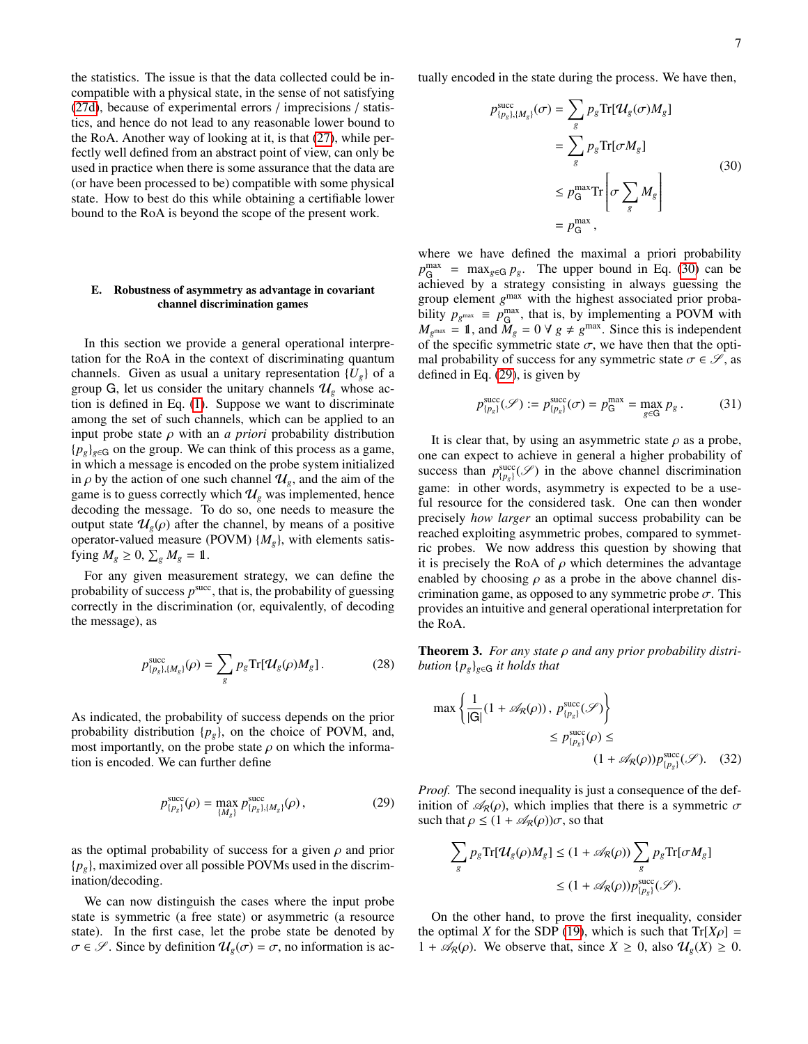the statistics. The issue is that the data collected could be incompatible with a physical state, in the sense of not satisfying [\(27d\)](#page-5-2), because of experimental errors / imprecisions / statistics, and hence do not lead to any reasonable lower bound to the RoA. Another way of looking at it, is that [\(27\)](#page-5-1), while perfectly well defined from an abstract point of view, can only be used in practice when there is some assurance that the data are (or have been processed to be) compatible with some physical state. How to best do this while obtaining a certifiable lower bound to the RoA is beyond the scope of the present work.

## <span id="page-6-0"></span>E. Robustness of asymmetry as advantage in covariant channel discrimination games

In this section we provide a general operational interpretation for the RoA in the context of discriminating quantum channels. Given as usual a unitary representation  $\{U_g\}$  of a group G, let us consider the unitary channels  $\mathcal{U}_g$  whose action is defined in Eq. [\(1\)](#page-1-1). Suppose we want to discriminate among the set of such channels, which can be applied to an input probe state  $\rho$  with an *a priori* probability distribution  ${p_g}_{g \in G}$  on the group. We can think of this process as a game, in which a message is encoded on the probe system initialized in  $\rho$  by the action of one such channel  $\mathcal{U}_g$ , and the aim of the game is to guess correctly which  $\mathcal{U}_g$  was implemented, hence decoding the message. To do so, one needs to measure the output state  $\mathcal{U}_{\rho}(\rho)$  after the channel, by means of a positive operator-valued measure (POVM)  $\{M_g\}$ , with elements satisfying  $M_g \geq 0$ ,  $\sum_g M_g = 1$ .

For any given measurement strategy, we can define the probability of success  $p<sup>succ</sup>$ , that is, the probability of guessing correctly in the discrimination (or, equivalently, of decoding the message), as

$$
p_{\{p_g\},\{M_g\}}^{\text{succ}}(\rho) = \sum_g p_g \text{Tr}[\mathcal{U}_g(\rho)M_g]. \tag{28}
$$

As indicated, the probability of success depends on the prior probability distribution  $\{p_g\}$ , on the choice of POVM, and, most importantly, on the probe state  $\rho$  on which the information is encoded. We can further define

<span id="page-6-2"></span>
$$
p_{\{p_g\}}^{\text{succ}}(\rho) = \max_{\{M_g\}} p_{\{p_g\},\{M_g\}}^{\text{succ}}(\rho), \qquad (29)
$$

as the optimal probability of success for a given  $\rho$  and prior  ${p<sub>g</sub>}$ , maximized over all possible POVMs used in the discrimination/decoding.

We can now distinguish the cases where the input probe state is symmetric (a free state) or asymmetric (a resource state). In the first case, let the probe state be denoted by  $\sigma \in \mathscr{S}$ . Since by definition  $\mathcal{U}_{g}(\sigma) = \sigma$ , no information is actually encoded in the state during the process. We have then,

<span id="page-6-1"></span>
$$
p_{\{p_g\},\{M_g\}}^{\text{succ}}(\sigma) = \sum_{g} p_g \text{Tr}[\mathcal{U}_g(\sigma)M_g]
$$

$$
= \sum_{g} p_g \text{Tr}[\sigma M_g]
$$

$$
\leq p_{\mathcal{G}}^{\max} \text{Tr}\left[\sigma \sum_{g} M_g\right]
$$

$$
= p_{\mathcal{G}}^{\max}, \qquad (30)
$$

where we have defined the maximal a priori probability  $p_{\rm G}^{\rm max}$  = max<sub>g∈G</sub>  $p_g$ . The upper bound in Eq. [\(30\)](#page-6-1) can be achieved by a strategy consisting in always guessing the group element g<sup>max</sup> with the highest associated prior probability  $p_{g^{\text{max}}} \equiv p_{G}^{\text{max}}$ , that is, by implementing a POVM with  $M_{g^{\text{max}}} = 1$ , and  $\widetilde{M}_g = 0 \ \forall \ g \neq g^{\text{max}}$ . Since this is independent of the specific symmetric state  $\sigma$ , we have then that the optimal probability of success for any symmetric state  $\sigma \in \mathcal{S}$ , as defined in Eq. [\(29\)](#page-6-2), is given by

$$
p_{\{p_g\}}^{\text{succ}}(\mathscr{S}) := p_{\{p_g\}}^{\text{succ}}(\sigma) = p_{\mathsf{G}}^{\text{max}} = \max_{g \in \mathsf{G}} p_g.
$$
 (31)

It is clear that, by using an asymmetric state  $\rho$  as a probe, one can expect to achieve in general a higher probability of success than  $p_{\{p_g\}}^{\text{succ}}(\mathscr{S})$  in the above channel discrimination game: in other words, asymmetry is expected to be a useful resource for the considered task. One can then wonder precisely *how larger* an optimal success probability can be reached exploiting asymmetric probes, compared to symmetric probes. We now address this question by showing that it is precisely the RoA of  $\rho$  which determines the advantage enabled by choosing  $\rho$  as a probe in the above channel discrimination game, as opposed to any symmetric probe  $\sigma$ . This provides an intuitive and general operational interpretation for the RoA.

<span id="page-6-4"></span>Theorem 3. *For any state* ρ *and any prior probability distribution*  $\{p_g\}_{g \in G}$  *it holds that* 

$$
\max \left\{ \frac{1}{|\mathsf{G}|} (1 + \mathcal{A}_{\mathcal{R}}(\rho)), \, p_{\{p_g\}}^{\text{succ}}(\mathcal{S}) \right\} \n\leq p_{\{p_g\}}^{\text{succ}}(\rho) \leq (1 + \mathcal{A}_{\mathcal{R}}(\rho)) p_{\{p_g\}}^{\text{succ}}(\mathcal{S}). \quad (32)
$$

*Proof.* The second inequality is just a consequence of the definition of  $\mathcal{A}_R(\rho)$ , which implies that there is a symmetric  $\sigma$ such that  $\rho \leq (1 + \mathcal{A}_R(\rho))\sigma$ , so that

<span id="page-6-3"></span>
$$
\sum_{g} p_{g} \text{Tr}[\mathcal{U}_{g}(\rho)M_{g}] \leq (1 + \mathcal{A}_{R}(\rho)) \sum_{g} p_{g} \text{Tr}[\sigma M_{g}]
$$
  

$$
\leq (1 + \mathcal{A}_{R}(\rho)) p_{\{p_{g}\}}^{\text{succ}}(\mathcal{S}).
$$

On the other hand, to prove the first inequality, consider the optimal *X* for the SDP [\(19\)](#page-4-5), which is such that  $Tr[X \rho] =$  $1 + \mathcal{A}_{R}(\rho)$ . We observe that, since  $X \geq 0$ , also  $\mathcal{U}_{g}(X) \geq 0$ .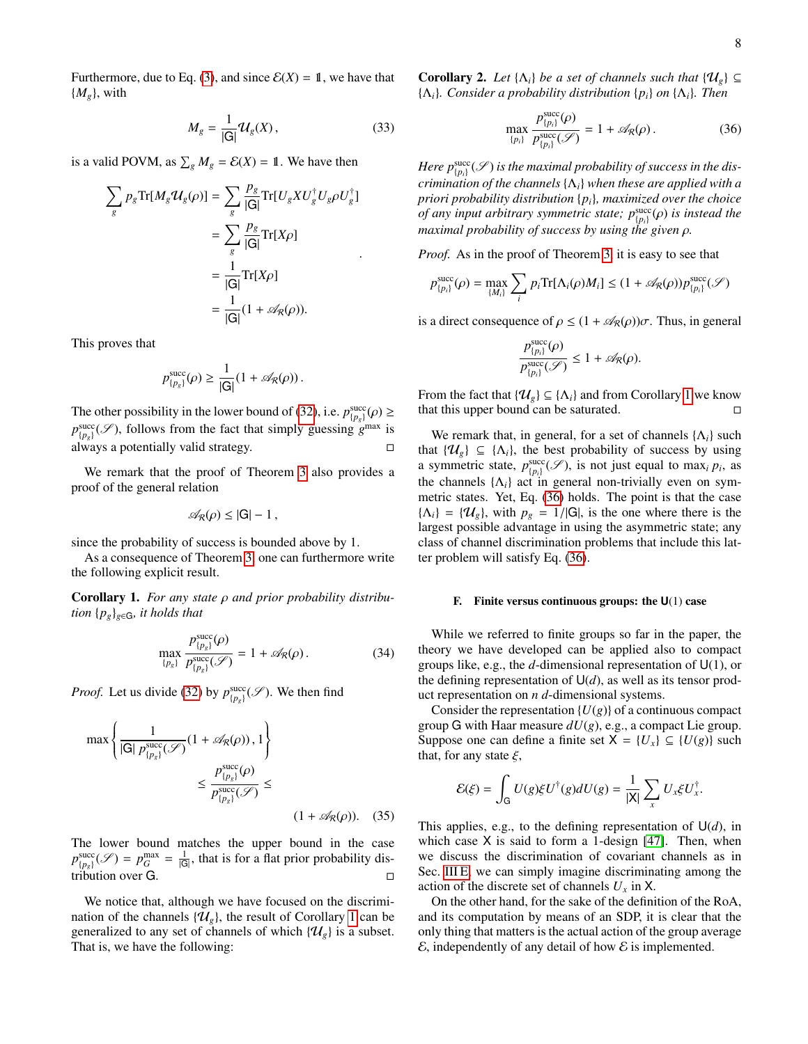Furthermore, due to Eq. [\(3\)](#page-1-2), and since  $\mathcal{E}(X) = 1$ , we have that  ${M<sub>g</sub>},$  with

$$
M_g = \frac{1}{|\mathsf{G}|} \mathcal{U}_g(X),\tag{33}
$$

is a valid POVM, as  $\sum_{g} M_g = \mathcal{E}(X) = 1$ . We have then

$$
\sum_{g} p_{g} \text{Tr}[M_{g} \mathcal{U}_{g}(\rho)] = \sum_{g} \frac{p_{g}}{|\mathsf{G}|} \text{Tr}[U_{g} X U_{g}^{\dagger} U_{g} \rho U_{g}^{\dagger}]
$$

$$
= \sum_{g} \frac{p_{g}}{|\mathsf{G}|} \text{Tr}[X \rho]
$$

$$
= \frac{1}{|\mathsf{G}|} \text{Tr}[X \rho]
$$

$$
= \frac{1}{|\mathsf{G}|} (1 + \mathscr{A}_{R}(\rho)).
$$

This proves that

$$
p_{\{p_g\}}^{\text{succ}}(\rho) \geq \frac{1}{|G|}(1 + \mathscr{A}_{\mathcal{R}}(\rho)).
$$

The other possibility in the lower bound of [\(32\)](#page-6-3), i.e.  $p_{\{p_g\}}^{\text{succ}}(\rho) \ge$  $p_{\{p_g\}}^{\text{succ}}(\mathscr{S})$ , follows from the fact that simply guessing *g*<sup>max</sup> is always a potentially valid strategy.

We remark that the proof of Theorem [3](#page-6-4) also provides a proof of the general relation

$$
\mathscr{A}_{\mathcal{R}}(\rho) \leq |\mathsf{G}| - 1\,,
$$

since the probability of success is bounded above by 1.

As a consequence of Theorem [3,](#page-6-4) one can furthermore write the following explicit result.

<span id="page-7-0"></span>Corollary 1. *For any state* ρ *and prior probability distribution*  $\{p_g\}_{g \in \mathbb{G}}$ *, it holds that* 

$$
\max_{\{p_g\}} \frac{p_{\{p_g\}}^{\text{succ}}(\mathcal{P})}{p_{\{p_g\}}^{\text{succ}}(\mathcal{P})} = 1 + \mathscr{A}_R(\rho). \tag{34}
$$

*Proof.* Let us divide [\(32\)](#page-6-3) by  $p_{\{p_g\}}^{\text{succ}}(\mathscr{S})$ . We then find

$$
\max \left\{ \frac{1}{|\mathsf{G}| \ p^{\text{succ}}_{\{p_g\}}(\mathcal{S})} (1 + \mathcal{A}_{\mathcal{R}}(\rho)), 1 \right\}
$$

$$
\leq \frac{p^{\text{succ}}_{\{p_g\}}(\rho)}{p^{\text{succ}}_{\{p_g\}}(\mathcal{S})} \leq (1 + \mathcal{A}_{\mathcal{R}}(\rho)). \quad (35)
$$

The lower bound matches the upper bound in the case  $p_{\{p_g\}}^{\text{succ}}(\mathscr{S}) = p_G^{\text{max}} = \frac{1}{|G|}$ , that is for a flat prior probability distribution over  $G$ .

We notice that, although we have focused on the discrimination of the channels  $\{U_g\}$ , the result of Corollary [1](#page-7-0) can be generalized to any set of channels of which  $\{\mathcal{U}_{g}\}\$ is a subset. That is, we have the following:

**Corollary 2.** *Let*  $\{\Lambda_i\}$  *be a set of channels such that*  $\{\mathcal{U}_g\} \subseteq$ {Λ*i*}*. Consider a probability distribution* {*pi*} *on* {Λ*i*}*. Then*

<span id="page-7-1"></span>
$$
\max_{\{p_i\}} \frac{p_{\{p_i\}}^{\text{succ}}(\rho)}{p_{\{p_i\}}^{\text{succ}}(\mathscr{S})} = 1 + \mathscr{A}_R(\rho). \tag{36}
$$

Here  $p_{\{p_i\}}^{\text{succ}}(\mathscr{S})$  is the maximal probability of success in the dis*crimination of the channels* {Λ*i*} *when these are applied with a priori probability distribution* {*pi*}*, maximized over the choice of any input arbitrary symmetric state;*  $p_{pi}^{succ}(\rho)$  *is instead the*<br>*maximal probability of success by using the given*  $ρ$ *maximal probability of success by using the given* ρ*.*

*Proof.* As in the proof of Theorem [3,](#page-6-4) it is easy to see that

$$
p_{\{p_i\}}^{\text{succ}}(\rho) = \max_{\{M_i\}} \sum_i p_i \text{Tr}[\Lambda_i(\rho) M_i] \leq (1 + \mathscr{A}_{\mathcal{R}}(\rho)) p_{\{p_i\}}^{\text{succ}}(\mathcal{S})
$$

is a direct consequence of  $\rho \leq (1 + \mathcal{A}_R(\rho))\sigma$ . Thus, in general

$$
\frac{p_{\{p_i\}}^{\text{succ}}(\rho)}{p_{\{p_i\}}^{\text{succ}}(\mathcal{S})} \leq 1 + \mathcal{A}_{\mathcal{R}}(\rho).
$$

From the fact that  $\{U_g\} \subseteq {\{\Lambda_i\}}$  and from Corollary [1](#page-7-0) we know that this upper bound can be saturated.

We remark that, in general, for a set of channels  $\{\Lambda_i\}$  such that  $\{\mathcal{U}_g\} \subseteq \{\Lambda_i\}$ , the best probability of success by using a symmetric state,  $p_{\{p_i\}}^{\text{succ}}(\mathcal{S})$ , is not just equal to max<sub>*i*</sub>  $p_i$ , as the channels  $\{\Lambda_i\}$  act in general non-trivially even on symmetric states. Yet, Eq. [\(36\)](#page-7-1) holds. The point is that the case  $\{\Lambda_i\} = \{\mathcal{U}_g\}$ , with  $p_g = 1/|G|$ , is the one where there is the largest possible advantage in using the asymmetric state; any class of channel discrimination problems that include this latter problem will satisfy Eq. [\(36\)](#page-7-1).

#### F. Finite versus continuous groups: the **U**(1) case

While we referred to finite groups so far in the paper, the theory we have developed can be applied also to compact groups like, e.g., the *d*-dimensional representation of U(1), or the defining representation of  $U(d)$ , as well as its tensor product representation on *n d*-dimensional systems.

Consider the representation  ${U(g)}$  of a continuous compact group G with Haar measure *dU*(*g*), e.g., a compact Lie group. Suppose one can define a finite set  $X = \{U_x\} \subseteq \{U(g)\}\$  such that, for any state  $\xi$ ,

$$
\mathcal{E}(\xi) = \int_{G} U(g) \xi U^{\dagger}(g) dU(g) = \frac{1}{|\mathsf{X}|} \sum_{x} U_{x} \xi U_{x}^{\dagger}
$$

This applies, e.g., to the defining representation of  $U(d)$ , in which case  $X$  is said to form a 1-design [\[47\]](#page-13-13). Then, when we discuss the discrimination of covariant channels as in Sec. [III E,](#page-6-0) we can simply imagine discriminating among the action of the discrete set of channels  $U_x$  in X.

On the other hand, for the sake of the definition of the RoA, and its computation by means of an SDP, it is clear that the only thing that matters is the actual action of the group average  $\mathcal E$ , independently of any detail of how  $\mathcal E$  is implemented.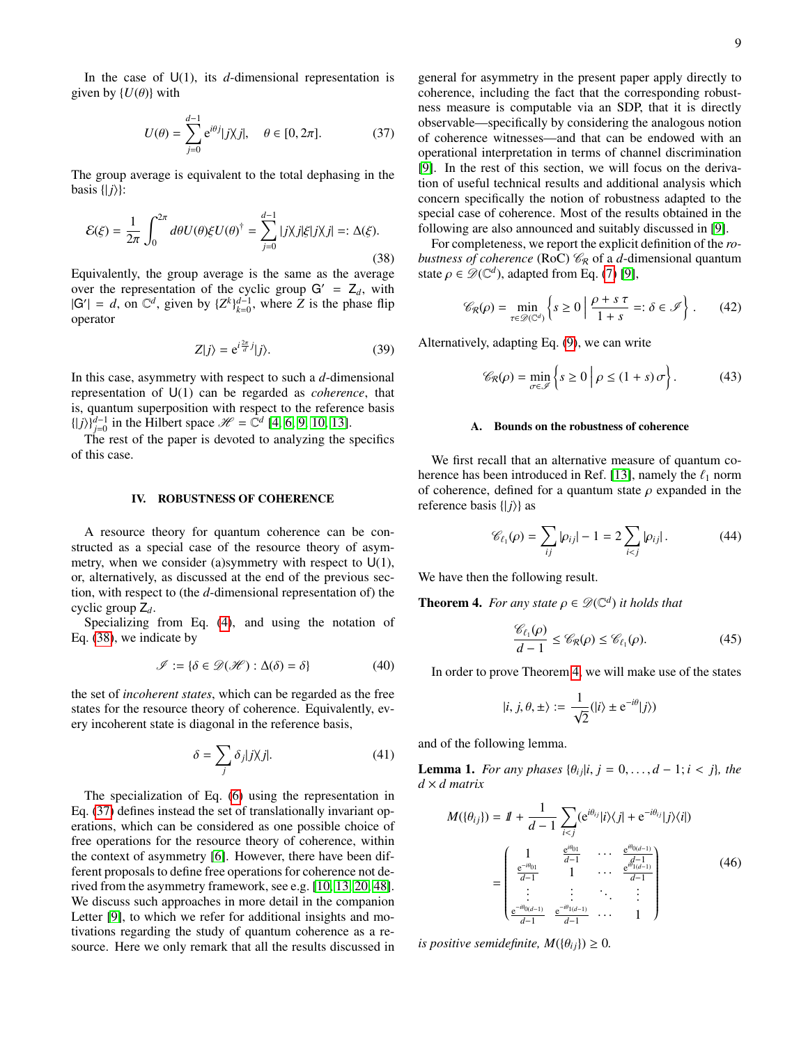In the case of  $U(1)$ , its *d*-dimensional representation is given by  $\{U(\theta)\}\$  with

<span id="page-8-3"></span>
$$
U(\theta) = \sum_{j=0}^{d-1} e^{i\theta j} |j \rangle j, \quad \theta \in [0, 2\pi].
$$
 (37)

The group average is equivalent to the total dephasing in the basis  $\{|j\rangle\}$ :

<span id="page-8-2"></span>
$$
\mathcal{E}(\xi) = \frac{1}{2\pi} \int_0^{2\pi} d\theta U(\theta) \xi U(\theta)^{\dagger} = \sum_{j=0}^{d-1} |j \rangle j |\xi| j \rangle j | =: \Delta(\xi).
$$
\n(38)

Equivalently, the group average is the same as the average over the representation of the cyclic group  $G' = Z_d$ , with  $|G'| = d$ , on  $\mathbb{C}^d$ , given by  $\{Z^k\}_{k=0}^{d-1}$ , where  $Z$  is the phase flip operator

$$
Z|j\rangle = e^{i\frac{2\pi}{d}j}|j\rangle.
$$
 (39)

In this case, asymmetry with respect to such a *d*-dimensional representation of U(1) can be regarded as *coherence*, that is, quantum superposition with respect to the reference basis  $\{(j)\}_{j=0}^{d-1}$  in the Hilbert space  $\mathcal{H} = \mathbb{C}^d$  [\[4,](#page-12-8) [6,](#page-12-2) [9,](#page-12-5) [10,](#page-12-6) [13\]](#page-12-9).

The rest of the paper is devoted to analyzing the specifics of this case.

## <span id="page-8-0"></span>IV. ROBUSTNESS OF COHERENCE

A resource theory for quantum coherence can be constructed as a special case of the resource theory of asymmetry, when we consider (a)symmetry with respect to  $U(1)$ , or, alternatively, as discussed at the end of the previous section, with respect to (the *d*-dimensional representation of) the cyclic group Z*d*.

Specializing from Eq. [\(4\)](#page-1-3), and using the notation of Eq. [\(38\)](#page-8-2), we indicate by

$$
\mathcal{I} := \{ \delta \in \mathcal{D}(\mathcal{H}) : \Delta(\delta) = \delta \}
$$
 (40)

the set of *incoherent states*, which can be regarded as the free states for the resource theory of coherence. Equivalently, every incoherent state is diagonal in the reference basis,

$$
\delta = \sum_{j} \delta_{j} |j \rangle j! \tag{41}
$$

The specialization of Eq. [\(6\)](#page-2-6) using the representation in Eq. [\(37\)](#page-8-3) defines instead the set of translationally invariant operations, which can be considered as one possible choice of free operations for the resource theory of coherence, within the context of asymmetry [\[6\]](#page-12-2). However, there have been different proposals to define free operations for coherence not derived from the asymmetry framework, see e.g. [\[10,](#page-12-6) [13,](#page-12-9) [20,](#page-12-11) [48\]](#page-13-14). We discuss such approaches in more detail in the companion Letter [\[9\]](#page-12-5), to which we refer for additional insights and motivations regarding the study of quantum coherence as a resource. Here we only remark that all the results discussed in general for asymmetry in the present paper apply directly to coherence, including the fact that the corresponding robustness measure is computable via an SDP, that it is directly observable—specifically by considering the analogous notion of coherence witnesses—and that can be endowed with an operational interpretation in terms of channel discrimination [\[9\]](#page-12-5). In the rest of this section, we will focus on the derivation of useful technical results and additional analysis which concern specifically the notion of robustness adapted to the special case of coherence. Most of the results obtained in the following are also announced and suitably discussed in [\[9\]](#page-12-5).

For completeness, we report the explicit definition of the *robustness of coherence* (RoC)  $\mathcal{C}_R$  of a *d*-dimensional quantum state  $\rho \in \mathscr{D}(\mathbb{C}^d)$ , adapted from Eq. [\(7\)](#page-2-3) [\[9\]](#page-12-5),

$$
\mathscr{C}_{\mathcal{R}}(\rho) = \min_{\tau \in \mathscr{D}(\mathbb{C}^d)} \left\{ s \ge 0 \; \middle| \; \frac{\rho + s \; \tau}{1 + s} =: \delta \in \mathscr{I} \right\} \,.
$$
 (42)

Alternatively, adapting Eq. [\(9\)](#page-2-5), we can write

$$
\mathscr{C}_{\mathcal{R}}(\rho) = \min_{\sigma \in \mathscr{I}} \left\{ s \ge 0 \, \middle| \, \rho \le (1+s)\,\sigma \right\}.
$$
 (43)

### <span id="page-8-1"></span>A. Bounds on the robustness of coherence

We first recall that an alternative measure of quantum co-herence has been introduced in Ref. [\[13\]](#page-12-9), namely the  $\ell_1$  norm of coherence, defined for a quantum state  $\rho$  expanded in the reference basis  $\{|j\rangle\}$  as

$$
\mathscr{C}_{\ell_1}(\rho) = \sum_{ij} |\rho_{ij}| - 1 = 2 \sum_{i < j} |\rho_{ij}|. \tag{44}
$$

We have then the following result.

<span id="page-8-4"></span>**Theorem 4.** For any state  $\rho \in \mathscr{D}(\mathbb{C}^d)$  it holds that

<span id="page-8-6"></span>
$$
\frac{\mathcal{C}_{\ell_1}(\rho)}{d-1} \le \mathcal{C}_{\mathcal{R}}(\rho) \le \mathcal{C}_{\ell_1}(\rho). \tag{45}
$$

In order to prove Theorem [4,](#page-8-4) we will make use of the states

$$
|i,j,\theta,\pm\rangle:=\frac{1}{\sqrt{2}}(|i\rangle\pm\text{e}^{-i\theta}|j\rangle)
$$

and of the following lemma.

<span id="page-8-5"></span>**Lemma 1.** *For any phases*  $\{\theta_i, i | i, j = 0, \ldots, d-1; i < j\}$ , the *d* × *d matrix*

$$
M(\{\theta_{ij}\}) = 1 + \frac{1}{d-1} \sum_{i < j} (e^{i\theta_{ij}} |i\rangle\langle j| + e^{-i\theta_{ij}} |j\rangle\langle i|)
$$
\n
$$
= \begin{pmatrix}\n1 & \frac{e^{i\theta_{01}}}{d-1} & \cdots & \frac{e^{i\theta_{0(d-1)}}}{d-1} \\
\frac{e^{-i\theta_{01}}}{d-1} & 1 & \cdots & \frac{e^{i\theta_{1(d-1)}}}{d-1} \\
\vdots & \vdots & \ddots & \vdots \\
\frac{e^{-i\theta_{0(d-1)}}}{d-1} & \frac{e^{-i\theta_{1(d-1)}}}{d-1} & \cdots & 1\n\end{pmatrix} \tag{46}
$$

*is positive semidefinite,*  $M(\{\theta_{ij}\}) \geq 0$ .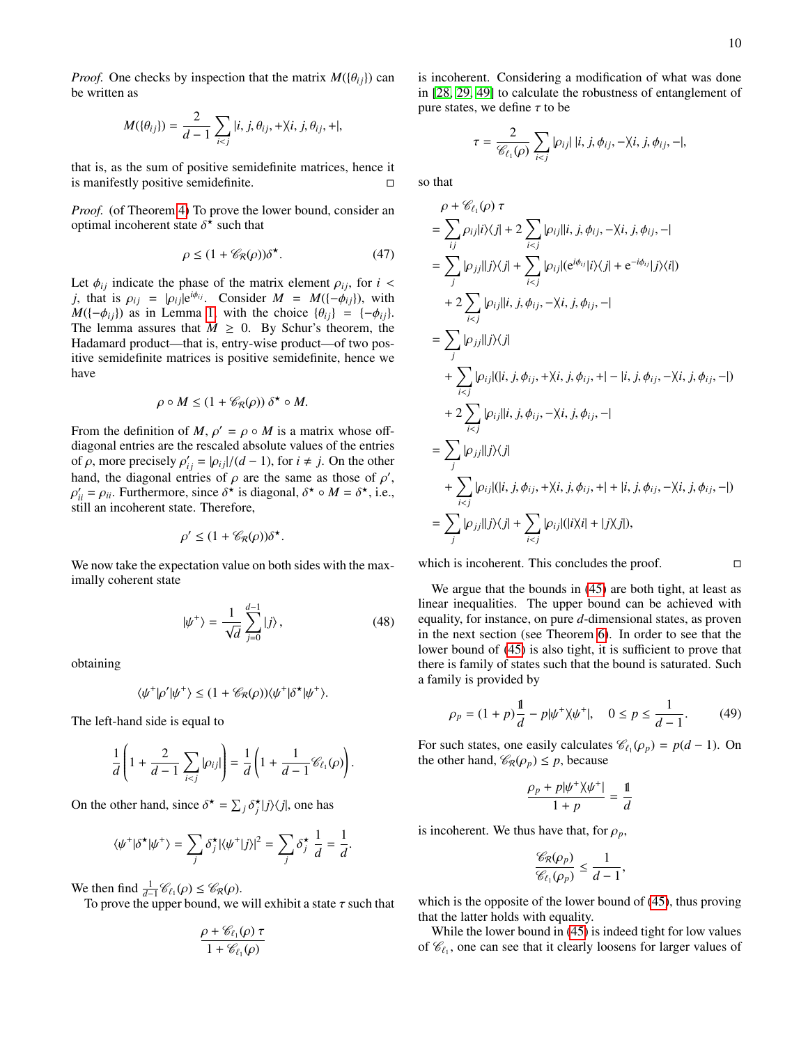*Proof.* One checks by inspection that the matrix  $M(\{\theta_{ij}\})$  can be written as

$$
M(\{\theta_{ij}\}) = \frac{2}{d-1} \sum_{i < j} |i, j, \theta_{ij}, +\chi i, j, \theta_{ij}, +|,
$$

that is, as the sum of positive semidefinite matrices, hence it is manifestly positive semidefinite.

*Proof.* (of Theorem [4\)](#page-8-4) To prove the lower bound, consider an optimal incoherent state  $\delta^*$  such that

$$
\rho \le (1 + \mathcal{C}_{\mathcal{R}}(\rho))\delta^{\star}.
$$
 (47)

Let  $\phi_{ij}$  indicate the phase of the matrix element  $\rho_{ij}$ , for *i* <<br>*i* that is  $\rho_{ij} = |\rho_{ij}|e^{i\phi_{ij}}$  Consider  $M = M(1-\phi_{ij})$  with *j*, that is  $\rho_{ij} = |\rho_{ij}|e^{i\phi_{ij}}$ . Consider  $M = M((-\phi_{ij}))$ , with  $M(1-\phi_{ij})$  as in Lemma 1, with the choice  $\{\theta_{ij}\} = \{-\phi_{ij}\}$ . *M*( $\{-\phi_{ij}\}$ ) as in Lemma [1,](#page-8-5) with the choice  $\{\theta_{ij}\} = \{-\phi_{ij}\}.$ The lemma assures that  $M \geq 0$ . By Schur's theorem, the Hadamard product—that is, entry-wise product—of two positive semidefinite matrices is positive semidefinite, hence we have

$$
\rho \circ M \le (1 + \mathscr{C}_{\mathcal{R}}(\rho)) \delta^{\star} \circ M.
$$

From the definition of *M*,  $\rho' = \rho \circ M$  is a matrix whose off-<br>diagonal entries are the rescaled absolute values of the entries diagonal entries are the rescaled absolute values of the entries of  $\rho$ , more precisely  $\rho'_{ij} = |\rho_{ij}|/(d-1)$ , for  $i \neq j$ . On the other hand, the diagonal entries of  $\rho$  are the same as those of  $\rho'$ ,<br>  $\rho' = \rho v$ . Furthermore since  $\delta^*$  is diagonal  $\delta^* \circ M = \delta^*$  i.e.  $\sum_{n=1}^{n}$  incoherent state. Therefore,  $\delta_{ii} = \rho_{ii}$ . Furthermore, since  $\delta^*$  is diagonal,  $\delta^* \circ M = \delta^*$ , i.e., i.e., i.e.

$$
\rho' \leq (1 + \mathscr{C}_{\mathcal{R}}(\rho))\delta^{\star}.
$$

We now take the expectation value on both sides with the maximally coherent state

<span id="page-9-1"></span>
$$
|\psi^+\rangle = \frac{1}{\sqrt{d}}\sum_{j=0}^{d-1}|j\rangle\,,\tag{48}
$$

obtaining

$$
\langle \psi^+|\rho'|\psi^+\rangle \le (1+\mathscr{C}_{\mathcal{R}}(\rho))\langle \psi^+|\delta^{\star}|\psi^+\rangle.
$$

The left-hand side is equal to

$$
\frac{1}{d}\left(1+\frac{2}{d-1}\sum_{i
$$

On the other hand, since  $\delta^* = \sum_j \delta_j^*|j\rangle\langle j|$ , one has

$$
\langle \psi^+ | \delta^{\star} | \psi^+ \rangle = \sum_j \delta_j^{\star} | \langle \psi^+ | j \rangle |^2 = \sum_j \delta_j^{\star} \frac{1}{d} = \frac{1}{d}.
$$

We then find  $\frac{1}{d-1} \mathcal{C}_{\ell_1}(\rho) \leq \mathcal{C}_{\mathcal{R}}(\rho)$ .<br>To prove the upper bound we

To prove the upper bound, we will exhibit a state  $\tau$  such that

$$
\frac{\rho + \mathscr{C}_{\ell_1}(\rho) \tau}{1 + \mathscr{C}_{\ell_1}(\rho)}
$$

is incoherent. Considering a modification of what was done in [\[28,](#page-12-20) [29,](#page-13-1) [49\]](#page-13-15) to calculate the robustness of entanglement of pure states, we define  $\tau$  to be

$$
\tau = \frac{2}{\mathscr{C}_{\ell_1}(\rho)} \sum_{i < j} |\rho_{ij}| \, |i, j, \phi_{ij}, -\chi i, j, \phi_{ij}, -|,
$$

so that

$$
\rho + \mathcal{C}_{\ell_{1}}(\rho) \tau
$$
\n
$$
= \sum_{ij} \rho_{ij} |i\rangle\langle j| + 2 \sum_{i < j} |\rho_{ij}| |i, j, \phi_{ij}, -\chi i, j, \phi_{ij}, -|
$$
\n
$$
= \sum_{j} |\rho_{jj}| |j\rangle\langle j| + \sum_{i < j} |\rho_{ij}| (e^{i\phi_{ij}} |i\rangle\langle j| + e^{-i\phi_{ij}} |j\rangle\langle i|)
$$
\n
$$
+ 2 \sum_{i < j} |\rho_{ij}| |i, j, \phi_{ij}, -\chi i, j, \phi_{ij}, -|
$$
\n
$$
= \sum_{j} |\rho_{jj}| |j\rangle\langle j|
$$
\n
$$
+ \sum_{i < j} |\rho_{ij}| (|i, j, \phi_{ij}, +\chi i, j, \phi_{ij}, +|- |i, j, \phi_{ij}, -\chi i, j, \phi_{ij}, -|)
$$
\n
$$
+ 2 \sum_{i < j} |\rho_{ij}| |i, j, \phi_{ij}, -\chi i, j, \phi_{ij}, -|
$$
\n
$$
= \sum_{j} |\rho_{jj}| |j\rangle\langle j|
$$
\n
$$
+ \sum_{i < j} |\rho_{ij}| (|i, j, \phi_{ij}, +\chi i, j, \phi_{ij}, +|+ |i, j, \phi_{ij}, -\chi i, j, \phi_{ij}, -|)
$$
\n
$$
= \sum_{j} |\rho_{jj}| |j\rangle\langle j| + \sum_{i < j} |\rho_{ij}| (|i\rangle\langle i| + |j\rangle\langle j|),
$$

which is incoherent. This concludes the proof.  $\Box$ 

We argue that the bounds in  $(45)$  are both tight, at least as linear inequalities. The upper bound can be achieved with equality, for instance, on pure *d*-dimensional states, as proven in the next section (see Theorem [6\)](#page-10-1). In order to see that the lower bound of [\(45\)](#page-8-6) is also tight, it is sufficient to prove that there is family of states such that the bound is saturated. Such a family is provided by

<span id="page-9-0"></span>
$$
\rho_p = (1 + p)\frac{1}{d} - p|\psi^+ \rangle \psi^+|, \quad 0 \le p \le \frac{1}{d - 1}.\tag{49}
$$

For such states, one easily calculates  $\mathcal{C}_{\ell_1}(\rho_p) = p(d-1)$ . On the other hand  $\mathcal{C}_{\ell_1}(\rho_1) \leq p$  because the other hand,  $\mathcal{C}_{\mathcal{R}}(\rho_p) \leq p$ , because

$$
\frac{\rho_p + p|\psi^+ \rangle \langle \psi^+|}{1+p} = \frac{1}{d}
$$

is incoherent. We thus have that, for  $\rho_p$ ,

$$
\frac{\mathscr{C}_{\mathcal{R}}(\rho_p)}{\mathscr{C}_{\ell_1}(\rho_p)} \leq \frac{1}{d-1},
$$

which is the opposite of the lower bound of  $(45)$ , thus proving that the latter holds with equality.

While the lower bound in [\(45\)](#page-8-6) is indeed tight for low values of  $\mathcal{C}_{\ell_1}$ , one can see that it clearly loosens for larger values of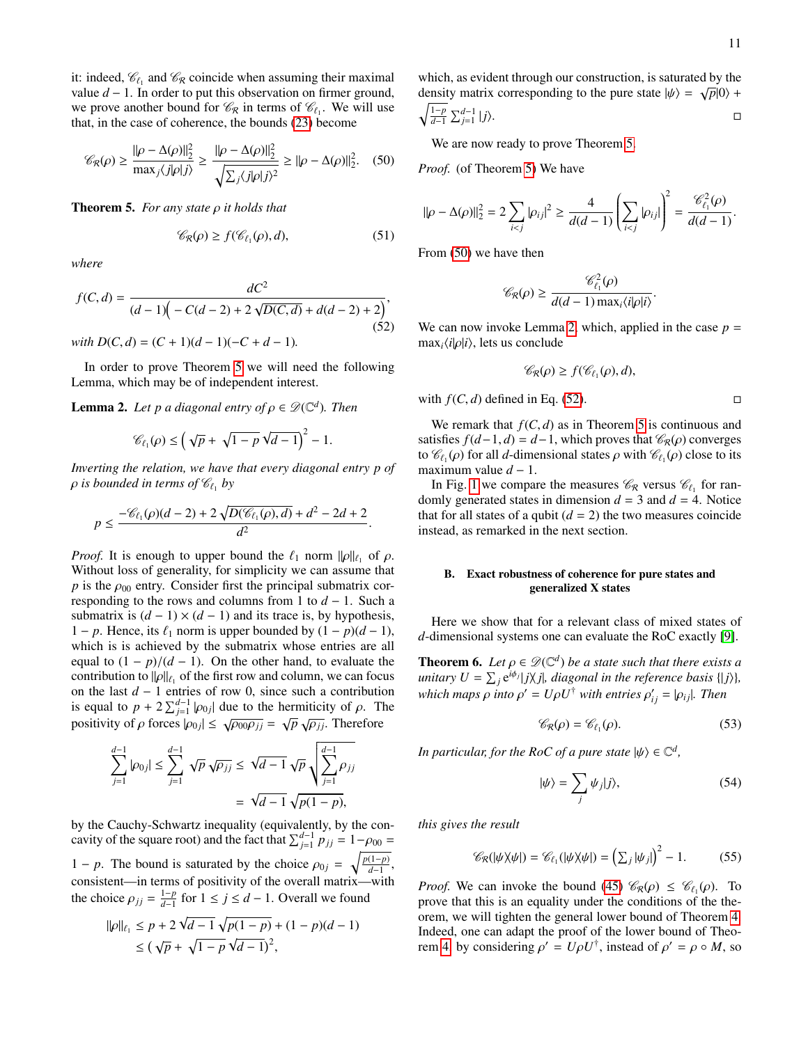it: indeed,  $\mathcal{C}_{\ell_1}$  and  $\mathcal{C}_{\mathcal{R}}$  coincide when assuming their maximal<br>value d. 1. In order to put this observation on firmer ground. value  $d − 1$ . In order to put this observation on firmer ground, we prove another bound for  $\mathcal{C}_R$  in terms of  $\mathcal{C}_{\ell_1}$ . We will use that in the case of coherence, the bounds (23) become that, in the case of coherence, the bounds [\(23\)](#page-4-4) become

<span id="page-10-3"></span>
$$
\mathcal{C}_{\mathcal{R}}(\rho) \ge \frac{\|\rho - \Delta(\rho)\|_2^2}{\max_j\langle j|\rho|j\rangle} \ge \frac{\|\rho - \Delta(\rho)\|_2^2}{\sqrt{\sum_j\langle j|\rho|j\rangle^2}} \ge \|\rho - \Delta(\rho)\|_2^2. \tag{50}
$$

<span id="page-10-2"></span>Theorem 5. *For any state* ρ *it holds that*

<span id="page-10-6"></span>
$$
\mathcal{C}_{\mathcal{R}}(\rho) \ge f(\mathcal{C}_{\ell_1}(\rho), d),\tag{51}
$$

*where*

<span id="page-10-5"></span>
$$
f(C,d) = \frac{dC^2}{(d-1)\left(-C(d-2) + 2\sqrt{D(C,d)} + d(d-2) + 2\right)},
$$
\n(52)

*with*  $D(C, d) = (C + 1)(d - 1)(-C + d - 1)$ .

In order to prove Theorem [5](#page-10-2) we will need the following Lemma, which may be of independent interest.

<span id="page-10-4"></span>**Lemma 2.** Let p a diagonal entry of  $\rho \in \mathcal{D}(\mathbb{C}^d)$ . Then

$$
\mathscr{C}_{\ell_1}(\rho) \leq \left(\sqrt{p} + \sqrt{1-p}\sqrt{d-1}\right)^2 - 1.
$$

*Inverting the relation, we have that every diagonal entry p of*  $\rho$  is bounded in terms of  $\mathscr{C}_{\ell_1}$  by

$$
p \le \frac{-\mathscr{C}_{\ell_1}(\rho)(d-2)+2\sqrt{D(\mathscr{C}_{\ell_1}(\rho),d)}+d^2-2d+2}{d^2}
$$

*Proof.* It is enough to upper bound the  $\ell_1$  norm  $||\rho||_{\ell_1}$  of  $\rho$ .<br>Without loss of generality for simplicity we can assume that Without loss of generality, for simplicity we can assume that  $p$  is the  $\rho_{00}$  entry. Consider first the principal submatrix corresponding to the rows and columns from 1 to *d* − 1. Such a submatrix is  $(d − 1) \times (d − 1)$  and its trace is, by hypothesis, 1 − *p*. Hence, its  $\ell_1$  norm is upper bounded by  $(1 - p)(d - 1)$ , which is is achieved by the submatrix whose entries are all equal to  $(1 - p)/(d - 1)$ . On the other hand, to evaluate the contribution to  $\|\rho\|_{\ell_1}$  of the first row and column, we can focus<br>on the last  $d-1$  entries of row 0 since such a contribution on the last *d* − 1 entries of row 0, since such a contribution is equal to  $p + 2\sum_{j=1}^{d-1} |\rho_{0j}|$  due to the hermiticity of  $\rho$ . The positivity of  $\rho$  forces  $|\rho_{0j}| \leq \sqrt{2\pi} \sqrt{2\pi}$ . Therefore positivity of  $\rho$  forces  $|\rho_{0j}| \le \sqrt{\rho_{00} \rho_{jj}} = \sqrt{p} \sqrt{\rho_{jj}}$ . Therefore

$$
\sum_{j=1}^{d-1} |p_{0j}| \le \sum_{j=1}^{d-1} \sqrt{p} \sqrt{p_{jj}} \le \sqrt{d-1} \sqrt{p} \sqrt{\sum_{j=1}^{d-1} \rho_{jj}}
$$
  
=  $\sqrt{d-1} \sqrt{p(1-p)},$ 

by the Cauchy-Schwartz inequality (equivalently, by the concavity of the square root) and the fact that  $\sum_{j=1}^{d-1} p_{jj} = 1 - \rho_{00} =$ 1 − *p*. The bound is saturated by the choice  $\rho_{0j} = \sqrt{\frac{p(1-p)}{d-1}}$  $\frac{(1-p)}{d-1}$ , consistent—in terms of positivity of the overall matrix—with the choice  $\rho_{jj} = \frac{1-p}{d-1}$  $\frac{1-p}{d-1}$  for 1 ≤ *j* ≤ *d* − 1. Overall we found

$$
\|\rho\|_{\ell_1} \le p + 2\sqrt{d-1}\sqrt{p(1-p)} + (1-p)(d-1) \le (\sqrt{p} + \sqrt{1-p}\sqrt{d-1})^2,
$$

which, as evident through our construction, is saturated by the  $\frac{1}{2}$ density matrix corresponding to the pure state  $|\psi\rangle = \sqrt{p}|0\rangle + \sqrt{p^2+1}$ 

$$
\sqrt{\frac{1-p}{d-1}} \sum_{j=1}^{d-1} |j\rangle.
$$

We are now ready to prove Theorem [5.](#page-10-2)

*Proof.* (of Theorem [5\)](#page-10-2) We have

$$
\|\rho - \Delta(\rho)\|_2^2 = 2 \sum_{i < j} |\rho_{ij}|^2 \ge \frac{4}{d(d-1)} \left( \sum_{i < j} |\rho_{ij}| \right)^2 = \frac{\mathscr{C}_{\ell_1}^2(\rho)}{d(d-1)}.
$$

From [\(50\)](#page-10-3) we have then

$$
\mathscr{C}_{\mathcal{R}}(\rho) \ge \frac{\mathscr{C}_{\ell_1}^2(\rho)}{d(d-1)\max_i\langle i|\rho|i\rangle}
$$

We can now invoke Lemma [2,](#page-10-4) which, applied in the case  $p =$  $max_i\langle i|\rho|i\rangle$ , lets us conclude

$$
\mathscr{C}_{\mathcal{R}}(\rho) \geq f(\mathscr{C}_{\ell_1}(\rho),d),
$$

with  $f(C, d)$  defined in Eq. [\(52\)](#page-10-5).

We remark that  $f(C, d)$  as in Theorem [5](#page-10-2) is continuous and satisfies  $f(d-1, d) = d-1$ , which proves that  $\mathcal{C}_{R}(\rho)$  converges to  $\mathcal{C}_{\ell_1}(\rho)$  for all *d*-dimensional states  $\rho$  with  $\mathcal{C}_{\ell_1}(\rho)$  close to its maximum value  $d-1$ maximum value  $d - 1$ .

In Fig. [1](#page-11-0) we compare the measures  $\mathcal{C}_R$  versus  $\mathcal{C}_{\ell_1}$  for ran-<br>mly generated states in dimension  $d = 3$  and  $d = 4$ . Notice domly generated states in dimension  $d = 3$  and  $d = 4$ . Notice that for all states of a qubit  $(d = 2)$  the two measures coincide instead, as remarked in the next section.

# <span id="page-10-0"></span>B. Exact robustness of coherence for pure states and generalized X states

Here we show that for a relevant class of mixed states of *d*-dimensional systems one can evaluate the RoC exactly [\[9\]](#page-12-5).

<span id="page-10-1"></span>**Theorem 6.** *Let*  $\rho \in \mathcal{D}(\mathbb{C}^d)$  *be a state such that there exists a unitary*  $U = \sum_i e^{i\phi_i}$  *iv i diagonal in the reference hasis ((ii)) unitary*  $U = \sum_j e^{i\phi_j} |j\rangle j$ , diagonal in the reference basis { $|j\rangle$ }, *which maps*  $\rho$  *into*  $\rho' = U \rho U^{\dagger}$  *with entries*  $\rho'_{ij} = |\rho_{ij}|$ *. Then* 

$$
\mathscr{C}_{\mathcal{R}}(\rho) = \mathscr{C}_{\ell_1}(\rho). \tag{53}
$$

*In particular, for the RoC of a pure state*  $|\psi\rangle \in \mathbb{C}^d$ ,

$$
|\psi\rangle = \sum_{j} \psi_{j} |j\rangle, \tag{54}
$$

*this gives the result*

$$
\mathscr{C}_{\mathcal{R}}(|\psi\rangle\langle\psi|) = \mathscr{C}_{\ell_1}(|\psi\rangle\langle\psi|) = \left(\sum_j |\psi_j|\right)^2 - 1. \tag{55}
$$

*Proof.* We can invoke the bound [\(45\)](#page-8-6)  $\mathcal{C}_R(\rho) \leq \mathcal{C}_{\ell_1}(\rho)$ . To prove that this is an equality under the conditions of the theprove that this is an equality under the conditions of the theorem, we will tighten the general lower bound of Theorem [4.](#page-8-4) Indeed, one can adapt the proof of the lower bound of Theo-rem [4,](#page-8-4) by considering  $\rho' = U \rho U^{\dagger}$ , instead of  $\rho' = \rho \circ M$ , so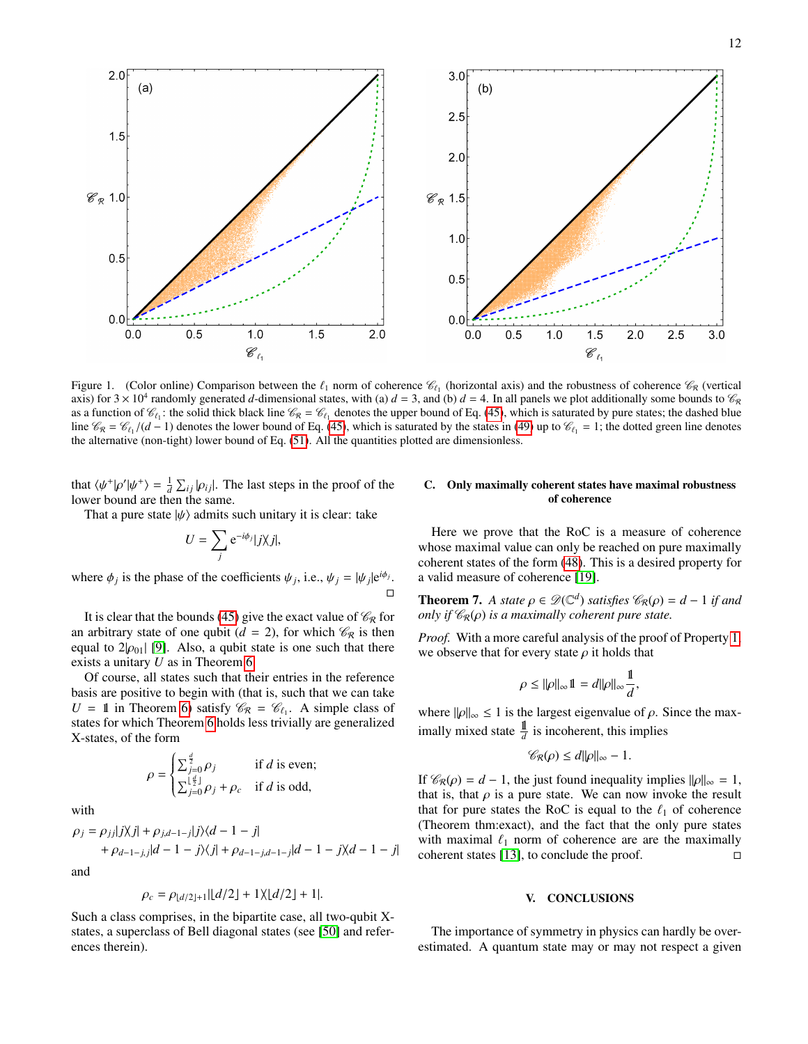<span id="page-11-0"></span>Figure 1. (Color online) Comparison between the  $\ell_1$  norm of coherence  $\mathcal{C}_{\ell_1}$  (horizontal axis) and the robustness of coherence  $\mathcal{C}_R$  (vertical axis)  $\ell_1$  and  $\ell_2$  is the robustness of coherence  $\mathcal{C}_R$ axis) for  $3 \times 10^4$  randomly generated *d*-dimensional states, with (a)  $d = 3$ , and (b)  $d = 4$ . In all panels we plot additionally some bounds to  $\mathcal{C}_R$ as a function of  $\mathcal{C}_{\ell_1}$ : the solid thick black line  $\mathcal{C}_R = \mathcal{C}_{\ell_1}$  denotes the upper bound of Eq. [\(45\)](#page-8-6), which is saturated by pure states; the dashed blue<br>line  $\mathcal{C}_{\ell_1} = \mathcal{C}_{\ell_2}$  ((4), 1) denotes the line  $\mathcal{C}_R = \mathcal{C}_{\ell_1}/(d-1)$  denotes the lower bound of Eq. [\(45\)](#page-8-6), which is saturated by the states in [\(49\)](#page-9-0) up to  $\mathcal{C}_{\ell_1} = 1$ ; the dotted green line denotes the alternative (non-tight) lower bound of Eq. (51). All the alternative (non-tight) lower bound of Eq. [\(51\)](#page-10-6). All the quantities plotted are dimensionless.

that  $\langle \psi^+ | \rho' | \psi^+ \rangle = \frac{1}{d} \sum_{ij} |\rho_{ij}|$ . The last steps in the proof of the lower bound are then the same lower bound are then the same.

That a pure state  $|\psi\rangle$  admits such unitary it is clear: take

$$
U = \sum_j e^{-i\phi_j} |j\rangle\langle j|,
$$

where  $\phi_j$  is the phase of the coefficients  $\psi_j$ , i.e.,  $\psi_j = |\psi_j|e^{i\phi_j}$ .  $\Box$ 

It is clear that the bounds [\(45\)](#page-8-6) give the exact value of  $\mathcal{C}_R$  for an arbitrary state of one qubit ( $d = 2$ ), for which  $\mathcal{C}_R$  is then equal to  $2|\rho_{01}|$  [\[9\]](#page-12-5). Also, a qubit state is one such that there exists a unitary *U* as in Theorem [6.](#page-10-1)

Of course, all states such that their entries in the reference basis are positive to begin with (that is, such that we can take  $U = 1$  in Theorem [6\)](#page-10-1) satisfy  $\mathcal{C}_R = \mathcal{C}_{\ell_1}$ . A simple class of states for which Theorem 6 holds less trivially are concretized states for which Theorem [6](#page-10-1) holds less trivially are generalized X-states, of the form

$$
\rho = \begin{cases} \sum_{j=0}^{\frac{d}{2}} \rho_j & \text{if } d \text{ is even;}\\ \sum_{j=0}^{\lfloor \frac{d}{2} \rfloor} \rho_j + \rho_c & \text{if } d \text{ is odd,} \end{cases}
$$

with

$$
\rho_j = \rho_{jj}|j\rangle\langle j| + \rho_{j,d-1-j}|j\rangle\langle d-1-j| + \rho_{d-1-j,j}|d-1-j\rangle\langle j| + \rho_{d-1-j,d-1-j}|d-1-j\rangle\langle d-1-j|
$$

and

$$
\rho_c = \rho_{\lfloor d/2 \rfloor + 1} \lfloor d/2 \rfloor + 1 \chi \lfloor d/2 \rfloor + 1.
$$

Such a class comprises, in the bipartite case, all two-qubit Xstates, a superclass of Bell diagonal states (see [\[50\]](#page-13-16) and references therein).

# C. Only maximally coherent states have maximal robustness of coherence

Here we prove that the RoC is a measure of coherence whose maximal value can only be reached on pure maximally coherent states of the form [\(48\)](#page-9-1). This is a desired property for a valid measure of coherence [\[19\]](#page-12-21).

**Theorem 7.** *A state*  $\rho \in \mathcal{D}(\mathbb{C}^d)$  *satisfies*  $\mathcal{C}_R(\rho) = d - 1$  *if and only if*  $\mathcal{C}_R(\rho)$  *is a maximally coherent pure state only if*  $\mathcal{C}_R(\rho)$  *is a maximally coherent pure state.* 

*Proof.* With a more careful analysis of the proof of Property [1,](#page-2-7) we observe that for every state  $\rho$  it holds that

$$
\rho \leq ||\rho||_{\infty} 1\!\!1 = d||\rho||_{\infty} \frac{1}{d},
$$

where  $\|\rho\|_{\infty} \le 1$  is the largest eigenvalue of  $\rho$ . Since the maximally mixed state  $\frac{1}{d}$  is incoherent, this implies

$$
\mathscr{C}_{\mathcal{R}}(\rho) \leq d||\rho||_{\infty} - 1.
$$

If  $\mathcal{C}_{\mathcal{R}}(\rho) = d - 1$ , the just found inequality implies  $\|\rho\|_{\infty} = 1$ , that is, that  $\rho$  is a pure state. We can now invoke the result that for pure states the RoC is equal to the  $\ell_1$  of coherence (Theorem thm:exact), and the fact that the only pure states with maximal  $\ell_1$  norm of coherence are are the maximally coherent states [13], to conclude the proof. coherent states [\[13\]](#page-12-9), to conclude the proof.

## V. CONCLUSIONS

The importance of symmetry in physics can hardly be overestimated. A quantum state may or may not respect a given

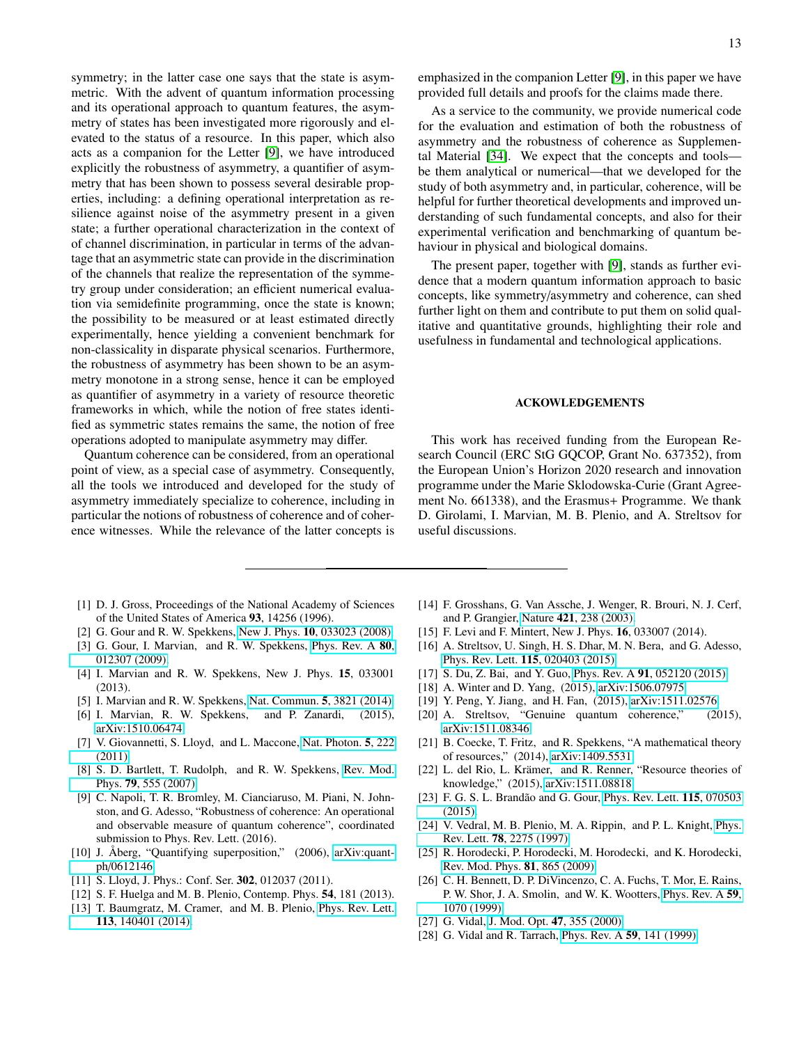symmetry; in the latter case one says that the state is asymmetric. With the advent of quantum information processing and its operational approach to quantum features, the asymmetry of states has been investigated more rigorously and elevated to the status of a resource. In this paper, which also acts as a companion for the Letter [\[9\]](#page-12-5), we have introduced explicitly the robustness of asymmetry, a quantifier of asymmetry that has been shown to possess several desirable properties, including: a defining operational interpretation as resilience against noise of the asymmetry present in a given state; a further operational characterization in the context of of channel discrimination, in particular in terms of the advantage that an asymmetric state can provide in the discrimination of the channels that realize the representation of the symmetry group under consideration; an efficient numerical evaluation via semidefinite programming, once the state is known; the possibility to be measured or at least estimated directly experimentally, hence yielding a convenient benchmark for non-classicality in disparate physical scenarios. Furthermore, the robustness of asymmetry has been shown to be an asymmetry monotone in a strong sense, hence it can be employed as quantifier of asymmetry in a variety of resource theoretic frameworks in which, while the notion of free states identified as symmetric states remains the same, the notion of free operations adopted to manipulate asymmetry may differ.

Quantum coherence can be considered, from an operational point of view, as a special case of asymmetry. Consequently, all the tools we introduced and developed for the study of asymmetry immediately specialize to coherence, including in particular the notions of robustness of coherence and of coherence witnesses. While the relevance of the latter concepts is 13

emphasized in the companion Letter [\[9\]](#page-12-5), in this paper we have provided full details and proofs for the claims made there.

As a service to the community, we provide numerical code for the evaluation and estimation of both the robustness of asymmetry and the robustness of coherence as Supplemental Material [\[34\]](#page-13-4). We expect that the concepts and tools be them analytical or numerical—that we developed for the study of both asymmetry and, in particular, coherence, will be helpful for further theoretical developments and improved understanding of such fundamental concepts, and also for their experimental verification and benchmarking of quantum behaviour in physical and biological domains.

The present paper, together with [\[9\]](#page-12-5), stands as further evidence that a modern quantum information approach to basic concepts, like symmetry/asymmetry and coherence, can shed further light on them and contribute to put them on solid qualitative and quantitative grounds, highlighting their role and usefulness in fundamental and technological applications.

## ACKOWLEDGEMENTS

This work has received funding from the European Research Council (ERC StG GQCOP, Grant No. 637352), from the European Union's Horizon 2020 research and innovation programme under the Marie Sklodowska-Curie (Grant Agreement No. 661338), and the Erasmus+ Programme. We thank D. Girolami, I. Marvian, M. B. Plenio, and A. Streltsov for useful discussions.

- <span id="page-12-0"></span>[1] D. J. Gross, Proceedings of the National Academy of Sciences of the United States of America 93, 14256 (1996).
- <span id="page-12-1"></span>[2] G. Gour and R. W. Spekkens, New J. Phys. 10[, 033023 \(2008\).](http://dx.doi.org/10.1088/1367-2630/10/3/033023)
- <span id="page-12-19"></span>[3] G. Gour, I. Marvian, and R. W. Spekkens, [Phys. Rev. A](http://dx.doi.org/10.1103/PhysRevA.80.012307) 80, [012307 \(2009\).](http://dx.doi.org/10.1103/PhysRevA.80.012307)
- <span id="page-12-8"></span>[4] I. Marvian and R. W. Spekkens, New J. Phys. 15, 033001 (2013).
- [5] I. Marvian and R. W. Spekkens, [Nat. Commun.](http://dx.doi.org/10.1038/ncomms4821) 5, 3821 (2014).
- <span id="page-12-2"></span>[6] I. Marvian, R. W. Spekkens, and P. Zanardi, (2015), [arXiv:1510.06474.](http://arxiv.org/abs/1510.06474)
- <span id="page-12-3"></span>[7] V. Giovannetti, S. Lloyd, and L. Maccone, [Nat. Photon.](http://dx.doi.org/10.1038/nphoton.2011.35) 5, 222 [\(2011\).](http://dx.doi.org/10.1038/nphoton.2011.35)
- <span id="page-12-4"></span>[8] S. D. Bartlett, T. Rudolph, and R. W. Spekkens, [Rev. Mod.](http://dx.doi.org/10.1103/RevModPhys.79.555) Phys. 79[, 555 \(2007\).](http://dx.doi.org/10.1103/RevModPhys.79.555)
- <span id="page-12-5"></span>[9] C. Napoli, T. R. Bromley, M. Cianciaruso, M. Piani, N. Johnston, and G. Adesso, "Robustness of coherence: An operational and observable measure of quantum coherence", coordinated submission to Phys. Rev. Lett. (2016).
- <span id="page-12-6"></span>[10] J. Åberg, "Quantifying superposition," (2006), [arXiv:quant](http://arxiv.org/abs/quant-ph/0612146)ph/[0612146.](http://arxiv.org/abs/quant-ph/0612146)
- [11] S. Lloyd, J. Phys.: Conf. Ser. 302, 012037 (2011).
- [12] S. F. Huelga and M. B. Plenio, Contemp. Phys. **54**, 181 (2013).
- <span id="page-12-9"></span>[13] T. Baumgratz, M. Cramer, and M. B. Plenio, [Phys. Rev. Lett.](http://dx.doi.org/10.1103/PhysRevLett.113.140401) 113[, 140401 \(2014\).](http://dx.doi.org/10.1103/PhysRevLett.113.140401)
- <span id="page-12-7"></span>[14] F. Grosshans, G. Van Assche, J. Wenger, R. Brouri, N. J. Cerf, and P. Grangier, Nature 421[, 238 \(2003\).](http://dx.doi.org/10.1038/nature01289)
- <span id="page-12-10"></span>[15] F. Levi and F. Mintert, New J. Phys. **16**, 033007 (2014).
- [16] A. Streltsov, U. Singh, H. S. Dhar, M. N. Bera, and G. Adesso, Phys. Rev. Lett. 115[, 020403 \(2015\).](http://dx.doi.org/10.1103/PhysRevLett.115.020403)
- [17] S. Du, Z. Bai, and Y. Guo, Phys. Rev. A 91[, 052120 \(2015\).](http://dx.doi.org/10.1103/PhysRevA.91.052120)
- [18] A. Winter and D. Yang, (2015), [arXiv:1506.07975.](http://arxiv.org/abs/1506.07975)
- <span id="page-12-21"></span>[19] Y. Peng, Y. Jiang, and H. Fan, (2015), [arXiv:1511.02576.](http://arxiv.org/abs/1511.02576)
- <span id="page-12-11"></span>[20] A. Streltsov, "Genuine quantum coherence," (2015), [arXiv:1511.08346.](http://arxiv.org/abs/1511.08346)
- <span id="page-12-12"></span>[21] B. Coecke, T. Fritz, and R. Spekkens, "A mathematical theory of resources," (2014), [arXiv:1409.5531.](http://arxiv.org/abs/1409.5531)
- <span id="page-12-13"></span>[22] L. del Rio, L. Krämer, and R. Renner, "Resource theories of knowledge," (2015), [arXiv:1511.08818.](http://arxiv.org/abs/1511.08818)
- <span id="page-12-14"></span>[23] F. G. S. L. Brandão and G. Gour, [Phys. Rev. Lett.](http://dx.doi.org/10.1103/PhysRevLett.115.070503) 115, 070503 [\(2015\).](http://dx.doi.org/10.1103/PhysRevLett.115.070503)
- <span id="page-12-15"></span>[24] V. Vedral, M. B. Plenio, M. A. Rippin, and P. L. Knight, [Phys.](http://dx.doi.org/10.1103/PhysRevLett.78.2275) Rev. Lett. 78[, 2275 \(1997\).](http://dx.doi.org/10.1103/PhysRevLett.78.2275)
- <span id="page-12-16"></span>[25] R. Horodecki, P. Horodecki, M. Horodecki, and K. Horodecki, [Rev. Mod. Phys.](http://dx.doi.org/10.1103/RevModPhys.81.865) 81, 865 (2009).
- <span id="page-12-17"></span>[26] C. H. Bennett, D. P. DiVincenzo, C. A. Fuchs, T. Mor, E. Rains, P. W. Shor, J. A. Smolin, and W. K. Wootters, [Phys. Rev. A](http://dx.doi.org/10.1103/PhysRevA.59.1070) 59, [1070 \(1999\).](http://dx.doi.org/10.1103/PhysRevA.59.1070)
- <span id="page-12-18"></span>[27] G. Vidal, [J. Mod. Opt.](http://dx.doi.org/10.1080/09500340008244048) 47, 355 (2000).
- <span id="page-12-20"></span>[28] G. Vidal and R. Tarrach, [Phys. Rev. A](http://dx.doi.org/10.1103/PhysRevA.59.141) 59, 141 (1999).